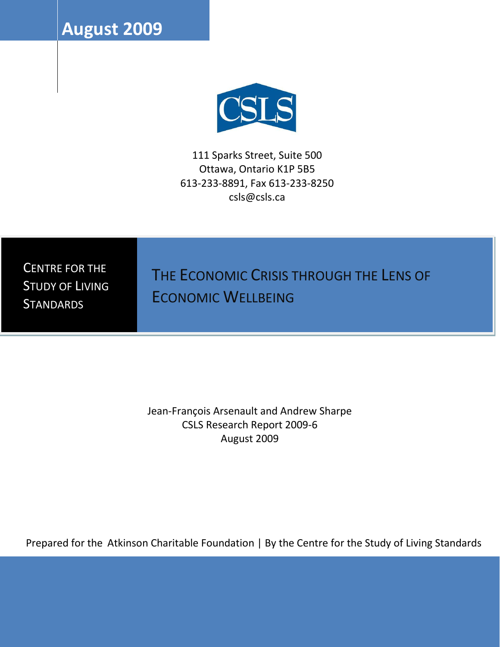**August 2009**



111 Sparks Street, Suite 500 Ottawa, Ontario K1P 5B5 613-233-8891, Fax 613-233-8250 csls@csls.ca

CENTRE FOR THE STUDY OF LIVING **STANDARDS** 

THE ECONOMIC CRISIS THROUGH THE LENS OF ECONOMIC WELLBEING

Jean-François Arsenault and Andrew Sharpe CSLS Research Report 2009-6 August 2009

Prepared for the Atkinson Charitable Foundation | By the Centre for the Study of Living Standards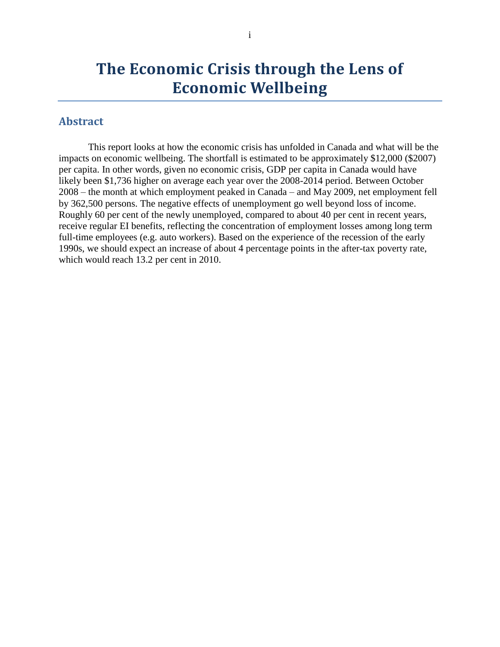# **The Economic Crisis through the Lens of Economic Wellbeing**

## <span id="page-1-0"></span>**Abstract**

This report looks at how the economic crisis has unfolded in Canada and what will be the impacts on economic wellbeing. The shortfall is estimated to be approximately \$12,000 (\$2007) per capita. In other words, given no economic crisis, GDP per capita in Canada would have likely been \$1,736 higher on average each year over the 2008-2014 period. Between October 2008 – the month at which employment peaked in Canada – and May 2009, net employment fell by 362,500 persons. The negative effects of unemployment go well beyond loss of income. Roughly 60 per cent of the newly unemployed, compared to about 40 per cent in recent years, receive regular EI benefits, reflecting the concentration of employment losses among long term full-time employees (e.g. auto workers). Based on the experience of the recession of the early 1990s, we should expect an increase of about 4 percentage points in the after-tax poverty rate, which would reach 13.2 per cent in 2010.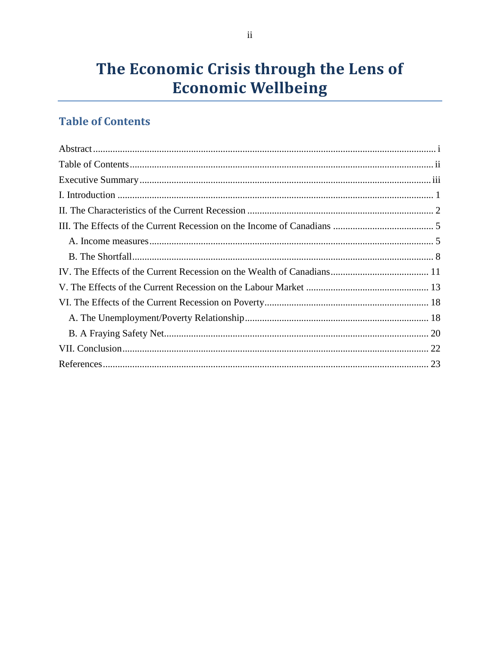# The Economic Crisis through the Lens of **Economic Wellbeing**

# <span id="page-2-0"></span>**Table of Contents**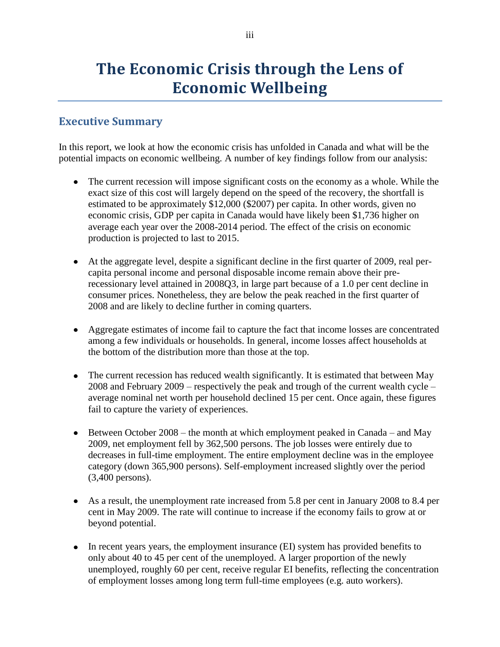# **The Economic Crisis through the Lens of Economic Wellbeing**

# <span id="page-3-0"></span>**Executive Summary**

In this report, we look at how the economic crisis has unfolded in Canada and what will be the potential impacts on economic wellbeing. A number of key findings follow from our analysis:

- The current recession will impose significant costs on the economy as a whole. While the exact size of this cost will largely depend on the speed of the recovery, the shortfall is estimated to be approximately \$12,000 (\$2007) per capita. In other words, given no economic crisis, GDP per capita in Canada would have likely been \$1,736 higher on average each year over the 2008-2014 period. The effect of the crisis on economic production is projected to last to 2015.
- At the aggregate level, despite a significant decline in the first quarter of 2009, real percapita personal income and personal disposable income remain above their prerecessionary level attained in 2008Q3, in large part because of a 1.0 per cent decline in consumer prices. Nonetheless, they are below the peak reached in the first quarter of 2008 and are likely to decline further in coming quarters.
- Aggregate estimates of income fail to capture the fact that income losses are concentrated among a few individuals or households. In general, income losses affect households at the bottom of the distribution more than those at the top.
- The current recession has reduced wealth significantly. It is estimated that between May 2008 and February 2009 – respectively the peak and trough of the current wealth cycle – average nominal net worth per household declined 15 per cent. Once again, these figures fail to capture the variety of experiences.
- Between October  $2008$  the month at which employment peaked in Canada and May 2009, net employment fell by 362,500 persons. The job losses were entirely due to decreases in full-time employment. The entire employment decline was in the employee category (down 365,900 persons). Self-employment increased slightly over the period (3,400 persons).
- As a result, the unemployment rate increased from 5.8 per cent in January 2008 to 8.4 per cent in May 2009. The rate will continue to increase if the economy fails to grow at or beyond potential.
- In recent years, the employment insurance (EI) system has provided benefits to only about 40 to 45 per cent of the unemployed. A larger proportion of the newly unemployed, roughly 60 per cent, receive regular EI benefits, reflecting the concentration of employment losses among long term full-time employees (e.g. auto workers).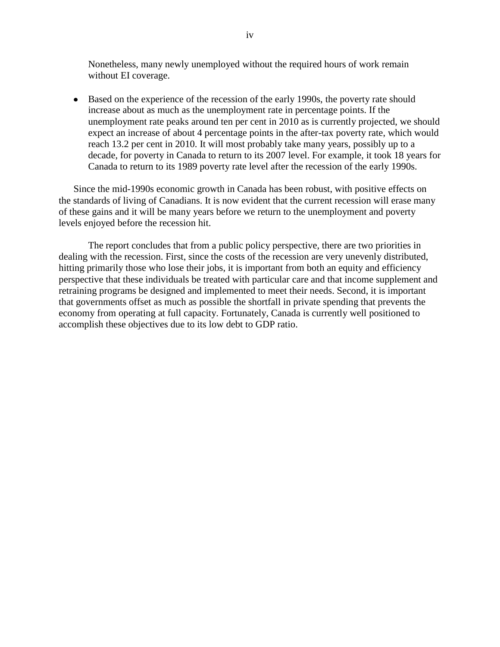Nonetheless, many newly unemployed without the required hours of work remain without EI coverage.

Based on the experience of the recession of the early 1990s, the poverty rate should increase about as much as the unemployment rate in percentage points. If the unemployment rate peaks around ten per cent in 2010 as is currently projected, we should expect an increase of about 4 percentage points in the after-tax poverty rate, which would reach 13.2 per cent in 2010. It will most probably take many years, possibly up to a decade, for poverty in Canada to return to its 2007 level. For example, it took 18 years for Canada to return to its 1989 poverty rate level after the recession of the early 1990s.

Since the mid-1990s economic growth in Canada has been robust, with positive effects on the standards of living of Canadians. It is now evident that the current recession will erase many of these gains and it will be many years before we return to the unemployment and poverty levels enjoyed before the recession hit.

The report concludes that from a public policy perspective, there are two priorities in dealing with the recession. First, since the costs of the recession are very unevenly distributed, hitting primarily those who lose their jobs, it is important from both an equity and efficiency perspective that these individuals be treated with particular care and that income supplement and retraining programs be designed and implemented to meet their needs. Second, it is important that governments offset as much as possible the shortfall in private spending that prevents the economy from operating at full capacity. Fortunately, Canada is currently well positioned to accomplish these objectives due to its low debt to GDP ratio.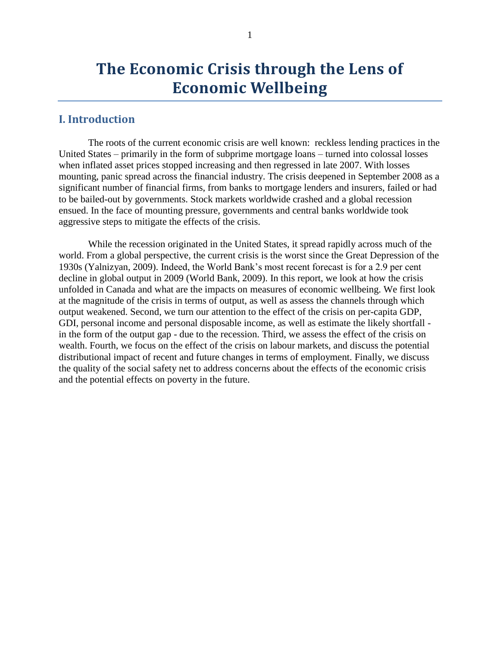## <span id="page-5-0"></span>**I. Introduction**

The roots of the current economic crisis are well known: reckless lending practices in the United States – primarily in the form of subprime mortgage loans – turned into colossal losses when inflated asset prices stopped increasing and then regressed in late 2007. With losses mounting, panic spread across the financial industry. The crisis deepened in September 2008 as a significant number of financial firms, from banks to mortgage lenders and insurers, failed or had to be bailed-out by governments. Stock markets worldwide crashed and a global recession ensued. In the face of mounting pressure, governments and central banks worldwide took aggressive steps to mitigate the effects of the crisis.

While the recession originated in the United States, it spread rapidly across much of the world. From a global perspective, the current crisis is the worst since the Great Depression of the 1930s (Yalnizyan, 2009). Indeed, the World Bank's most recent forecast is for a 2.9 per cent decline in global output in 2009 (World Bank, 2009). In this report, we look at how the crisis unfolded in Canada and what are the impacts on measures of economic wellbeing. We first look at the magnitude of the crisis in terms of output, as well as assess the channels through which output weakened. Second, we turn our attention to the effect of the crisis on per-capita GDP, GDI, personal income and personal disposable income, as well as estimate the likely shortfall in the form of the output gap - due to the recession. Third, we assess the effect of the crisis on wealth. Fourth, we focus on the effect of the crisis on labour markets, and discuss the potential distributional impact of recent and future changes in terms of employment. Finally, we discuss the quality of the social safety net to address concerns about the effects of the economic crisis and the potential effects on poverty in the future.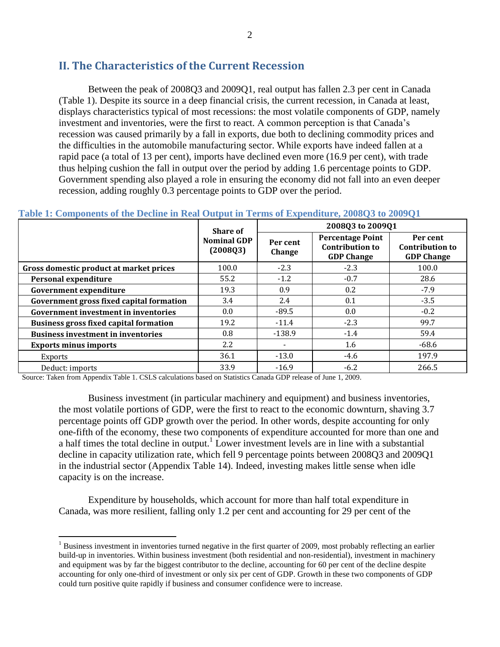# <span id="page-6-0"></span>**II. The Characteristics of the Current Recession**

Between the peak of 2008Q3 and 2009Q1, real output has fallen 2.3 per cent in Canada [\(Table 1\)](#page-6-1). Despite its source in a deep financial crisis, the current recession, in Canada at least, displays characteristics typical of most recessions: the most volatile components of GDP, namely investment and inventories, were the first to react. A common perception is that Canada's recession was caused primarily by a fall in exports, due both to declining commodity prices and the difficulties in the automobile manufacturing sector. While exports have indeed fallen at a rapid pace (a total of 13 per cent), imports have declined even more (16.9 per cent), with trade thus helping cushion the fall in output over the period by adding 1.6 percentage points to GDP. Government spending also played a role in ensuring the economy did not fall into an even deeper recession, adding roughly 0.3 percentage points to GDP over the period.

|                                               | Share of                       |                    | 2008Q3 to 2009Q1                                                       |                                                         |  |  |
|-----------------------------------------------|--------------------------------|--------------------|------------------------------------------------------------------------|---------------------------------------------------------|--|--|
|                                               | <b>Nominal GDP</b><br>(2008Q3) | Per cent<br>Change | <b>Percentage Point</b><br><b>Contribution to</b><br><b>GDP Change</b> | Per cent<br><b>Contribution to</b><br><b>GDP Change</b> |  |  |
| Gross domestic product at market prices       | 100.0                          | $-2.3$             | $-2.3$                                                                 | 100.0                                                   |  |  |
| <b>Personal expenditure</b>                   | 55.2                           | $-1.2$             | $-0.7$                                                                 | 28.6                                                    |  |  |
| <b>Government expenditure</b>                 | 19.3                           | 0.9                | 0.2                                                                    | $-7.9$                                                  |  |  |
| Government gross fixed capital formation      | 3.4                            | 2.4                | 0.1                                                                    | $-3.5$                                                  |  |  |
| <b>Government investment in inventories</b>   | 0.0                            | $-89.5$            | 0.0                                                                    | $-0.2$                                                  |  |  |
| <b>Business gross fixed capital formation</b> | 19.2                           | $-11.4$            | $-2.3$                                                                 | 99.7                                                    |  |  |
| <b>Business investment in inventories</b>     | 0.8                            | $-138.9$           | $-1.4$                                                                 | 59.4                                                    |  |  |
| <b>Exports minus imports</b>                  | 2.2                            |                    | 1.6                                                                    | $-68.6$                                                 |  |  |
| <b>Exports</b>                                | 36.1                           | $-13.0$            | $-4.6$                                                                 | 197.9                                                   |  |  |
| Deduct: imports                               | 33.9                           | $-16.9$            | $-6.2$                                                                 | 266.5                                                   |  |  |

#### <span id="page-6-1"></span>**Table 1: Components of the Decline in Real Output in Terms of Expenditure, 2008Q3 to 2009Q1**

Source: Taken from Appendix Table 1. CSLS calculations based on Statistics Canada GDP release of June 1, 2009.

 $\overline{a}$ 

Business investment (in particular machinery and equipment) and business inventories, the most volatile portions of GDP, were the first to react to the economic downturn, shaving 3.7 percentage points off GDP growth over the period. In other words, despite accounting for only one-fifth of the economy, these two components of expenditure accounted for more than one and a half times the total decline in output.<sup>1</sup> Lower investment levels are in line with a substantial decline in capacity utilization rate, which fell 9 percentage points between 2008Q3 and 2009Q1 in the industrial sector (Appendix Table 14). Indeed, investing makes little sense when idle capacity is on the increase.

Expenditure by households, which account for more than half total expenditure in Canada, was more resilient, falling only 1.2 per cent and accounting for 29 per cent of the

 $<sup>1</sup>$  Business investment in inventories turned negative in the first quarter of 2009, most probably reflecting an earlier</sup> build-up in inventories. Within business investment (both residential and non-residential), investment in machinery and equipment was by far the biggest contributor to the decline, accounting for 60 per cent of the decline despite accounting for only one-third of investment or only six per cent of GDP. Growth in these two components of GDP could turn positive quite rapidly if business and consumer confidence were to increase.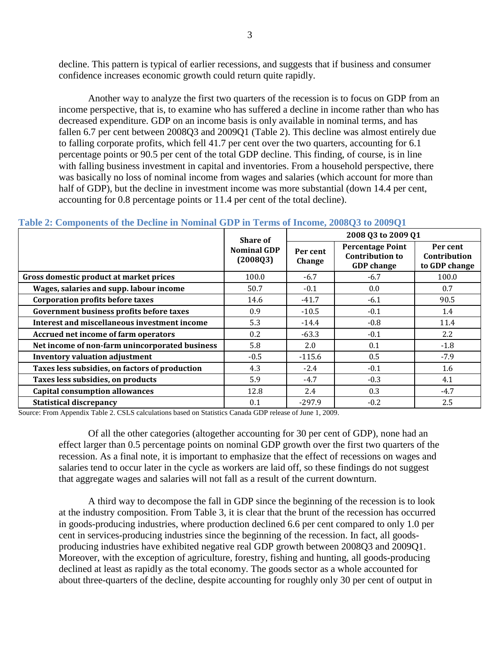decline. This pattern is typical of earlier recessions, and suggests that if business and consumer confidence increases economic growth could return quite rapidly.

Another way to analyze the first two quarters of the recession is to focus on GDP from an income perspective, that is, to examine who has suffered a decline in income rather than who has decreased expenditure. GDP on an income basis is only available in nominal terms, and has fallen 6.7 per cent between 2008Q3 and 2009Q1 [\(Table 2\)](#page-7-0). This decline was almost entirely due to falling corporate profits, which fell 41.7 per cent over the two quarters, accounting for 6.1 percentage points or 90.5 per cent of the total GDP decline. This finding, of course, is in line with falling business investment in capital and inventories. From a household perspective, there was basically no loss of nominal income from wages and salaries (which account for more than half of GDP), but the decline in investment income was more substantial (down 14.4 per cent, accounting for 0.8 percentage points or 11.4 per cent of the total decline).

|                                                | <b>Share of</b>                |                    | 2008 Q3 to 2009 Q1                                                     |                                           |  |  |
|------------------------------------------------|--------------------------------|--------------------|------------------------------------------------------------------------|-------------------------------------------|--|--|
|                                                | <b>Nominal GDP</b><br>(2008Q3) | Per cent<br>Change | <b>Percentage Point</b><br><b>Contribution to</b><br><b>GDP</b> change | Per cent<br>Contribution<br>to GDP change |  |  |
| Gross domestic product at market prices        | 100.0                          | $-6.7$             | $-6.7$                                                                 | 100.0                                     |  |  |
| Wages, salaries and supp. labour income        | 50.7                           | $-0.1$             | 0.0                                                                    | 0.7                                       |  |  |
| <b>Corporation profits before taxes</b>        | 14.6                           | $-41.7$            | $-6.1$                                                                 | 90.5                                      |  |  |
| Government business profits before taxes       | 0.9                            | $-10.5$            | $-0.1$                                                                 | 1.4                                       |  |  |
| Interest and miscellaneous investment income   | 5.3                            | $-14.4$            | $-0.8$                                                                 | 11.4                                      |  |  |
| Accrued net income of farm operators           | 0.2                            | $-63.3$            | $-0.1$                                                                 | 2.2                                       |  |  |
| Net income of non-farm unincorporated business | 5.8                            | 2.0                | 0.1                                                                    | $-1.8$                                    |  |  |
| <b>Inventory valuation adjustment</b>          | $-0.5$                         | $-115.6$           | 0.5                                                                    | $-7.9$                                    |  |  |
| Taxes less subsidies, on factors of production | 4.3                            | $-2.4$             | $-0.1$                                                                 | 1.6                                       |  |  |
| Taxes less subsidies, on products              | 5.9                            | $-4.7$             | $-0.3$                                                                 | 4.1                                       |  |  |
| <b>Capital consumption allowances</b>          | 12.8                           | 2.4                | 0.3                                                                    | $-4.7$                                    |  |  |
| <b>Statistical discrepancy</b>                 | 0.1                            | $-297.9$           | $-0.2$                                                                 | 2.5                                       |  |  |

## <span id="page-7-0"></span>**Table 2: Components of the Decline in Nominal GDP in Terms of Income, 2008Q3 to 2009Q1**

Source: From Appendix Table 2. CSLS calculations based on Statistics Canada GDP release of June 1, 2009.

Of all the other categories (altogether accounting for 30 per cent of GDP), none had an effect larger than 0.5 percentage points on nominal GDP growth over the first two quarters of the recession. As a final note, it is important to emphasize that the effect of recessions on wages and salaries tend to occur later in the cycle as workers are laid off, so these findings do not suggest that aggregate wages and salaries will not fall as a result of the current downturn.

A third way to decompose the fall in GDP since the beginning of the recession is to look at the industry composition. From [Table 3,](#page-8-1) it is clear that the brunt of the recession has occurred in goods-producing industries, where production declined 6.6 per cent compared to only 1.0 per cent in services-producing industries since the beginning of the recession. In fact, all goodsproducing industries have exhibited negative real GDP growth between 2008Q3 and 2009Q1. Moreover, with the exception of agriculture, forestry, fishing and hunting, all goods-producing declined at least as rapidly as the total economy. The goods sector as a whole accounted for about three-quarters of the decline, despite accounting for roughly only 30 per cent of output in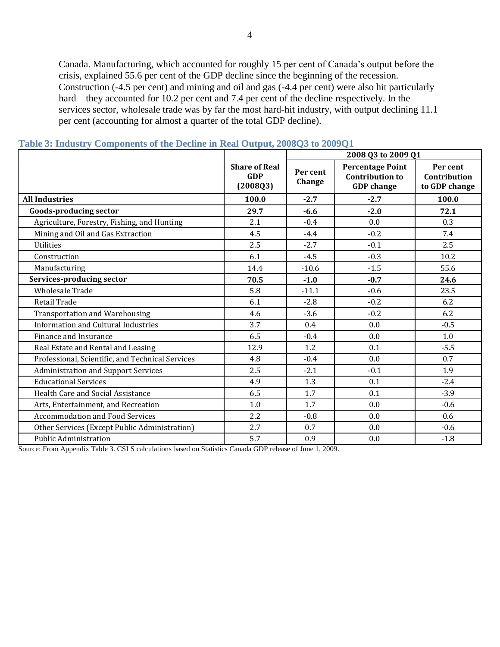Canada. Manufacturing, which accounted for roughly 15 per cent of Canada's output before the crisis, explained 55.6 per cent of the GDP decline since the beginning of the recession. Construction (-4.5 per cent) and mining and oil and gas (-4.4 per cent) were also hit particularly hard – they accounted for 10.2 per cent and 7.4 per cent of the decline respectively. In the services sector, wholesale trade was by far the most hard-hit industry, with output declining 11.1 per cent (accounting for almost a quarter of the total GDP decline).

|                                                  |                                                | 2008 Q3 to 2009 Q1 |                                                                        |                                           |  |  |
|--------------------------------------------------|------------------------------------------------|--------------------|------------------------------------------------------------------------|-------------------------------------------|--|--|
|                                                  | <b>Share of Real</b><br><b>GDP</b><br>(2008Q3) | Per cent<br>Change | <b>Percentage Point</b><br><b>Contribution to</b><br><b>GDP</b> change | Per cent<br>Contribution<br>to GDP change |  |  |
| <b>All Industries</b>                            | 100.0                                          | $-2.7$             | $-2.7$                                                                 | 100.0                                     |  |  |
| <b>Goods-producing sector</b>                    | 29.7                                           | $-6.6$             | $-2.0$                                                                 | 72.1                                      |  |  |
| Agriculture, Forestry, Fishing, and Hunting      | 2.1                                            | $-0.4$             | 0.0                                                                    | 0.3                                       |  |  |
| Mining and Oil and Gas Extraction                | 4.5                                            | $-4.4$             | $-0.2$                                                                 | 7.4                                       |  |  |
| <b>Utilities</b>                                 | 2.5                                            | $-2.7$             | $-0.1$                                                                 | 2.5                                       |  |  |
| Construction                                     | 6.1                                            | $-4.5$             | $-0.3$                                                                 | 10.2                                      |  |  |
| Manufacturing                                    | 14.4                                           | $-10.6$            | $-1.5$                                                                 | 55.6                                      |  |  |
| Services-producing sector                        | 70.5                                           | $-1.0$             | $-0.7$                                                                 | 24.6                                      |  |  |
| <b>Wholesale Trade</b>                           | 5.8                                            | $-11.1$            | $-0.6$                                                                 | 23.5                                      |  |  |
| Retail Trade                                     | 6.1                                            | $-2.8$             | $-0.2$                                                                 | 6.2                                       |  |  |
| <b>Transportation and Warehousing</b>            | 4.6                                            | $-3.6$             | $-0.2$                                                                 | 6.2                                       |  |  |
| <b>Information and Cultural Industries</b>       | 3.7                                            | 0.4                | 0.0                                                                    | $-0.5$                                    |  |  |
| Finance and Insurance                            | 6.5                                            | $-0.4$             | 0.0                                                                    | 1.0                                       |  |  |
| Real Estate and Rental and Leasing               | 12.9                                           | 1.2                | 0.1                                                                    | $-5.5$                                    |  |  |
| Professional, Scientific, and Technical Services | 4.8                                            | $-0.4$             | 0.0                                                                    | 0.7                                       |  |  |
| <b>Administration and Support Services</b>       | 2.5                                            | $-2.1$             | $-0.1$                                                                 | 1.9                                       |  |  |
| <b>Educational Services</b>                      | 4.9                                            | 1.3                | 0.1                                                                    | $-2.4$                                    |  |  |
| Health Care and Social Assistance                | 6.5                                            | 1.7                | 0.1                                                                    | $-3.9$                                    |  |  |
| Arts, Entertainment, and Recreation              | 1.0                                            | 1.7                | 0.0                                                                    | $-0.6$                                    |  |  |
| <b>Accommodation and Food Services</b>           | $2.2\,$                                        | $-0.8$             | 0.0                                                                    | 0.6                                       |  |  |
| Other Services (Except Public Administration)    | 2.7                                            | 0.7                | 0.0                                                                    | $-0.6$                                    |  |  |
| <b>Public Administration</b>                     | 5.7                                            | 0.9                | 0.0                                                                    | $-1.8$                                    |  |  |

#### <span id="page-8-1"></span>**Table 3: Industry Components of the Decline in Real Output, 2008Q3 to 2009Q1**

<span id="page-8-0"></span>Source: From Appendix Table 3. CSLS calculations based on Statistics Canada GDP release of June 1, 2009.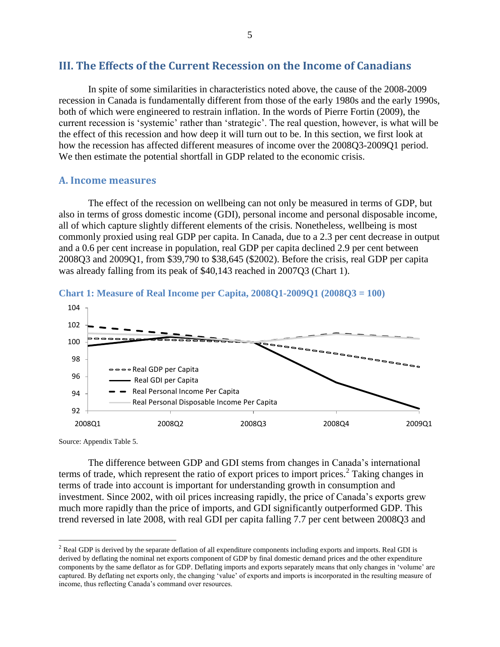## **III. The Effects of the Current Recession on the Income of Canadians**

In spite of some similarities in characteristics noted above, the cause of the 2008-2009 recession in Canada is fundamentally different from those of the early 1980s and the early 1990s, both of which were engineered to restrain inflation. In the words of Pierre Fortin (2009), the current recession is 'systemic' rather than 'strategic'. The real question, however, is what will be the effect of this recession and how deep it will turn out to be. In this section, we first look at how the recession has affected different measures of income over the 2008Q3-2009Q1 period. We then estimate the potential shortfall in GDP related to the economic crisis.

### <span id="page-9-0"></span>**A. Income measures**

The effect of the recession on wellbeing can not only be measured in terms of GDP, but also in terms of gross domestic income (GDI), personal income and personal disposable income, all of which capture slightly different elements of the crisis. Nonetheless, wellbeing is most commonly proxied using real GDP per capita. In Canada, due to a 2.3 per cent decrease in output and a 0.6 per cent increase in population, real GDP per capita declined 2.9 per cent between 2008Q3 and 2009Q1, from \$39,790 to \$38,645 (\$2002). Before the crisis, real GDP per capita was already falling from its peak of \$40,143 reached in 2007Q3 [\(Chart 1\)](#page-9-1).



#### <span id="page-9-1"></span>**Chart 1: Measure of Real Income per Capita, 2008Q1-2009Q1 (2008Q3 = 100)**

Source: Appendix Table 5.

 $\overline{a}$ 

The difference between GDP and GDI stems from changes in Canada's international terms of trade, which represent the ratio of export prices to import prices.<sup>2</sup> Taking changes in terms of trade into account is important for understanding growth in consumption and investment. Since 2002, with oil prices increasing rapidly, the price of Canada's exports grew much more rapidly than the price of imports, and GDI significantly outperformed GDP. This trend reversed in late 2008, with real GDI per capita falling 7.7 per cent between 2008Q3 and

 $2^2$  Real GDP is derived by the separate deflation of all expenditure components including exports and imports. Real GDI is derived by deflating the nominal net exports component of GDP by final domestic demand prices and the other expenditure components by the same deflator as for GDP. Deflating imports and exports separately means that only changes in 'volume' are captured. By deflating net exports only, the changing 'value' of exports and imports is incorporated in the resulting measure of income, thus reflecting Canada's command over resources.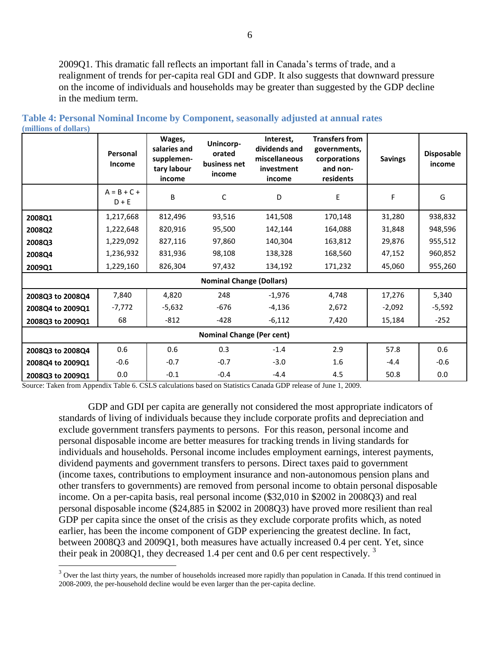2009Q1. This dramatic fall reflects an important fall in Canada's terms of trade, and a realignment of trends for per-capita real GDI and GDP. It also suggests that downward pressure on the income of individuals and households may be greater than suggested by the GDP decline in the medium term.

|                                  | Personal<br>Income       | Wages,<br>salaries and<br>supplemen-<br>tary labour<br>income | Unincorp-<br>orated<br>business net<br>income | Interest,<br>dividends and<br>miscellaneous<br>investment<br>income | <b>Transfers from</b><br>governments,<br>corporations<br>and non-<br>residents | <b>Savings</b> | <b>Disposable</b><br>income |  |  |
|----------------------------------|--------------------------|---------------------------------------------------------------|-----------------------------------------------|---------------------------------------------------------------------|--------------------------------------------------------------------------------|----------------|-----------------------------|--|--|
|                                  | $A = B + C +$<br>$D + E$ | B                                                             | C                                             | D                                                                   | E                                                                              | F              | G                           |  |  |
| 2008Q1                           | 1,217,668                | 812,496                                                       | 93,516                                        | 141,508                                                             | 170,148                                                                        | 31,280         | 938,832                     |  |  |
| 2008Q2                           | 1,222,648                | 820,916                                                       | 95,500                                        | 142,144                                                             | 164,088                                                                        | 31,848         | 948,596                     |  |  |
| 2008Q3                           | 1,229,092                | 827,116                                                       | 97,860                                        | 140,304                                                             | 163,812                                                                        | 29,876         | 955,512                     |  |  |
| 2008Q4                           | 1,236,932                | 831,936                                                       | 98,108                                        | 138,328                                                             | 168,560                                                                        | 47,152         | 960,852                     |  |  |
| 2009Q1                           | 1,229,160                | 826,304                                                       | 97,432                                        | 134,192                                                             | 171,232                                                                        | 45,060         | 955,260                     |  |  |
|                                  |                          |                                                               | <b>Nominal Change (Dollars)</b>               |                                                                     |                                                                                |                |                             |  |  |
| 2008Q3 to 2008Q4                 | 7,840                    | 4,820                                                         | 248                                           | $-1,976$                                                            | 4,748                                                                          | 17,276         | 5,340                       |  |  |
| 2008Q4 to 2009Q1                 | $-7,772$                 | $-5,632$                                                      | $-676$                                        | $-4,136$                                                            | 2,672                                                                          | $-2,092$       | $-5,592$                    |  |  |
| 2008Q3 to 2009Q1                 | 68                       | $-812$                                                        | $-428$                                        | $-6,112$                                                            | 7,420                                                                          | 15,184         | $-252$                      |  |  |
| <b>Nominal Change (Per cent)</b> |                          |                                                               |                                               |                                                                     |                                                                                |                |                             |  |  |
| 2008Q3 to 2008Q4                 | 0.6                      | 0.6                                                           | 0.3                                           | $-1.4$                                                              | 2.9                                                                            | 57.8           | 0.6                         |  |  |
| 2008Q4 to 2009Q1                 | $-0.6$                   | $-0.7$                                                        | $-0.7$                                        | $-3.0$                                                              | 1.6                                                                            | $-4.4$         | $-0.6$                      |  |  |
| 2008Q3 to 2009Q1                 | 0.0                      | $-0.1$                                                        | $-0.4$                                        | $-4.4$                                                              | 4.5                                                                            | 50.8           | 0.0                         |  |  |

<span id="page-10-0"></span>**Table 4: Personal Nominal Income by Component, seasonally adjusted at annual rates (millions of dollars)**

Source: Taken from Appendix Table 6. CSLS calculations based on Statistics Canada GDP release of June 1, 2009.

 $\overline{a}$ 

GDP and GDI per capita are generally not considered the most appropriate indicators of standards of living of individuals because they include corporate profits and depreciation and exclude government transfers payments to persons. For this reason, personal income and personal disposable income are better measures for tracking trends in living standards for individuals and households. Personal income includes employment earnings, interest payments, dividend payments and government transfers to persons. Direct taxes paid to government (income taxes, contributions to employment insurance and non-autonomous pension plans and other transfers to governments) are removed from personal income to obtain personal disposable income. On a per-capita basis, real personal income (\$32,010 in \$2002 in 2008Q3) and real personal disposable income (\$24,885 in \$2002 in 2008Q3) have proved more resilient than real GDP per capita since the onset of the crisis as they exclude corporate profits which, as noted earlier, has been the income component of GDP experiencing the greatest decline. In fact, between 2008Q3 and 2009Q1, both measures have actually increased 0.4 per cent. Yet, since their peak in 2008Q1, they decreased 1.4 per cent and 0.6 per cent respectively.<sup>3</sup>

<sup>&</sup>lt;sup>3</sup> Over the last thirty years, the number of households increased more rapidly than population in Canada. If this trend continued in 2008-2009, the per-household decline would be even larger than the per-capita decline.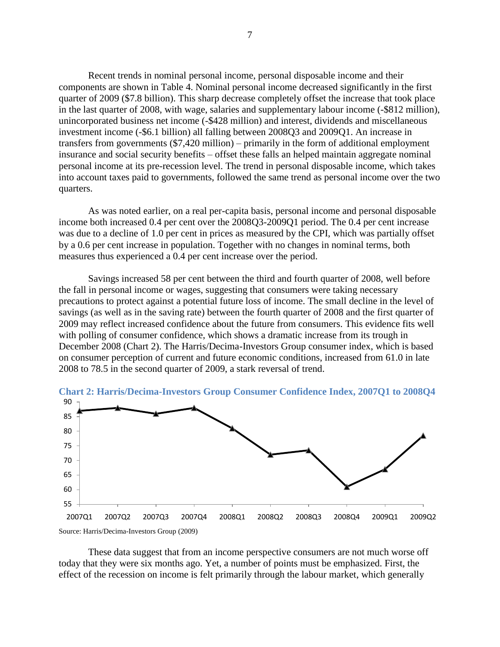Recent trends in nominal personal income, personal disposable income and their components are shown in [Table 4.](#page-10-0) Nominal personal income decreased significantly in the first quarter of 2009 (\$7.8 billion). This sharp decrease completely offset the increase that took place in the last quarter of 2008, with wage, salaries and supplementary labour income (-\$812 million), unincorporated business net income (-\$428 million) and interest, dividends and miscellaneous investment income (-\$6.1 billion) all falling between 2008Q3 and 2009Q1. An increase in transfers from governments (\$7,420 million) – primarily in the form of additional employment insurance and social security benefits – offset these falls an helped maintain aggregate nominal personal income at its pre-recession level. The trend in personal disposable income, which takes into account taxes paid to governments, followed the same trend as personal income over the two quarters.

As was noted earlier, on a real per-capita basis, personal income and personal disposable income both increased 0.4 per cent over the 2008Q3-2009Q1 period. The 0.4 per cent increase was due to a decline of 1.0 per cent in prices as measured by the CPI, which was partially offset by a 0.6 per cent increase in population. Together with no changes in nominal terms, both measures thus experienced a 0.4 per cent increase over the period.

Savings increased 58 per cent between the third and fourth quarter of 2008, well before the fall in personal income or wages, suggesting that consumers were taking necessary precautions to protect against a potential future loss of income. The small decline in the level of savings (as well as in the saving rate) between the fourth quarter of 2008 and the first quarter of 2009 may reflect increased confidence about the future from consumers. This evidence fits well with polling of consumer confidence, which shows a dramatic increase from its trough in December 2008 [\(Chart 2\)](#page-11-0). The Harris/Decima-Investors Group consumer index, which is based on consumer perception of current and future economic conditions, increased from 61.0 in late 2008 to 78.5 in the second quarter of 2009, a stark reversal of trend.



<span id="page-11-0"></span>**Chart 2: Harris/Decima-Investors Group Consumer Confidence Index, 2007Q1 to 2008Q4**

These data suggest that from an income perspective consumers are not much worse off today that they were six months ago. Yet, a number of points must be emphasized. First, the effect of the recession on income is felt primarily through the labour market, which generally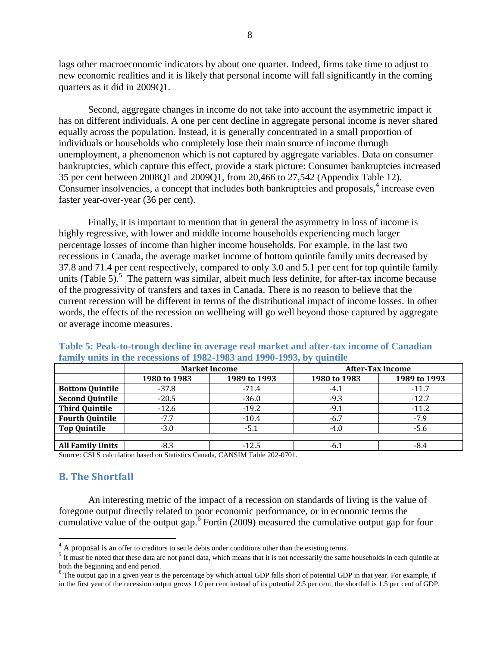lags other macroeconomic indicators by about one quarter. Indeed, firms take time to adjust to new economic realities and it is likely that personal income will fall significantly in the coming quarters as it did in 2009Q1.

Second, aggregate changes in income do not take into account the asymmetric impact it has on different individuals. A one per cent decline in aggregate personal income is never shared equally across the population. Instead, it is generally concentrated in a small proportion of individuals or households who completely lose their main source of income through unemployment, a phenomenon which is not captured by aggregate variables. Data on consumer bankruptcies, which capture this effect, provide a stark picture: Consumer bankruptcies increased 35 per cent between 2008Q1 and 2009Q1, from 20,466 to 27,542 (Appendix Table 12). Consumer insolvencies, a concept that includes both bankruptcies and proposals,<sup>4</sup> increase even faster year-over-year (36 per cent).

Finally, it is important to mention that in general the asymmetry in loss of income is highly regressive, with lower and middle income households experiencing much larger percentage losses of income than higher income households. For example, in the last two recessions in Canada, the average market income of bottom quintile family units decreased by 37.8 and 71.4 per cent respectively, compared to only 3.0 and 5.1 per cent for top quintile family units [\(Table 5\)](#page-12-1).<sup>5</sup> The pattern was similar, albeit much less definite, for after-tax income because of the progressivity of transfers and taxes in Canada. There is no reason to believe that the current recession will be different in terms of the distributional impact of income losses. In other words, the effects of the recession on wellbeing will go well beyond those captured by aggregate or average income measures.

|                         | <b>Market Income</b> |              | <b>After-Tax Income</b> |              |  |
|-------------------------|----------------------|--------------|-------------------------|--------------|--|
|                         | 1980 to 1983         | 1989 to 1993 | 1980 to 1983            | 1989 to 1993 |  |
| <b>Bottom Quintile</b>  | $-37.8$              | $-71.4$      | $-4.1$                  | $-11.7$      |  |
| <b>Second Quintile</b>  | $-20.5$              | $-36.0$      | $-9.3$                  | $-12.7$      |  |
| <b>Third Quintile</b>   | $-12.6$              | $-19.2$      | $-9.1$                  | $-11.2$      |  |
| <b>Fourth Quintile</b>  | $-7.7$               | $-10.4$      | $-6.7$                  | $-7.9$       |  |
| <b>Top Quintile</b>     | $-3.0$               | -5.1         | $-4.0$                  | $-5.6$       |  |
|                         |                      |              |                         |              |  |
| <b>All Family Units</b> | $-8.3$               | $-12.5$      | -6.1                    | -8.4         |  |

### <span id="page-12-1"></span>**Table 5: Peak-to-trough decline in average real market and after-tax income of Canadian family units in the recessions of 1982-1983 and 1990-1993, by quintile**

Source: CSLS calculation based on Statistics Canada, CANSIM Table 202-0701.

## <span id="page-12-0"></span>**B. The Shortfall**

 $\overline{a}$ 

An interesting metric of the impact of a recession on standards of living is the value of foregone output directly related to poor economic performance, or in economic terms the cumulative value of the output gap.<sup>6</sup> Fortin (2009) measured the cumulative output gap for four

 $4 \text{ A proposal}$  is an offer to creditors to settle debts under conditions other than the existing terms.

 $<sup>5</sup>$  It must be noted that these data are not panel data, which means that it is not necessarily the same households in each quintile at</sup> both the beginning and end period.

<sup>&</sup>lt;sup>6</sup> The output gap in a given year is the percentage by which actual GDP falls short of potential GDP in that year. For example, if in the first year of the recession output grows 1.0 per cent instead of its potential 2.5 per cent, the shortfall is 1.5 per cent of GDP.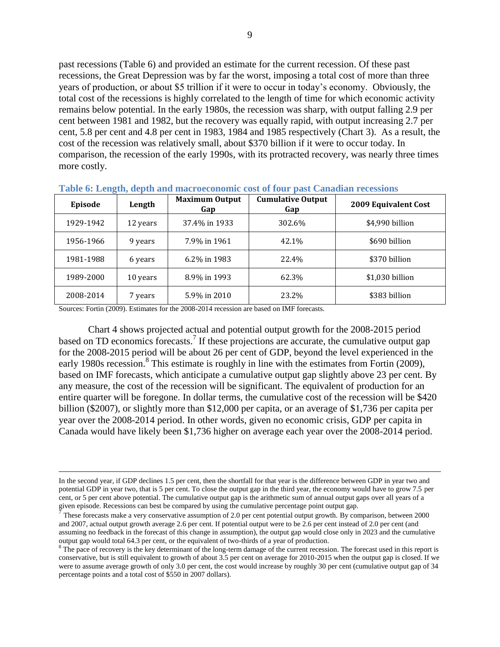past recessions [\(Table 6\)](#page-13-0) and provided an estimate for the current recession. Of these past recessions, the Great Depression was by far the worst, imposing a total cost of more than three years of production, or about \$5 trillion if it were to occur in today's economy. Obviously, the total cost of the recessions is highly correlated to the length of time for which economic activity remains below potential. In the early 1980s, the recession was sharp, with output falling 2.9 per cent between 1981 and 1982, but the recovery was equally rapid, with output increasing 2.7 per cent, 5.8 per cent and 4.8 per cent in 1983, 1984 and 1985 respectively [\(Chart 3\)](#page-14-1). As a result, the cost of the recession was relatively small, about \$370 billion if it were to occur today. In comparison, the recession of the early 1990s, with its protracted recovery, was nearly three times more costly.

| Episode   | Length   | <b>Maximum Output</b><br>Gap | <b>Cumulative Output</b><br>Gap | 2009 Equivalent Cost |
|-----------|----------|------------------------------|---------------------------------|----------------------|
| 1929-1942 | 12 years | 37.4% in 1933                | 302.6%                          | \$4,990 billion      |
| 1956-1966 | 9 years  | 7.9% in 1961                 | 42.1%                           | \$690 billion        |
| 1981-1988 | 6 years  | 6.2% in 1983                 | 22.4%                           | \$370 billion        |
| 1989-2000 | 10 years | 8.9% in 1993                 | 62.3%                           | \$1,030 billion      |
| 2008-2014 | 7 years  | 5.9% in 2010                 | 23.2%                           | \$383 billion        |

<span id="page-13-0"></span>

| Table 6: Length, depth and macroeconomic cost of four past Canadian recessions |  |  |  |
|--------------------------------------------------------------------------------|--|--|--|
|                                                                                |  |  |  |

Sources: Fortin (2009). Estimates for the 2008-2014 recession are based on IMF forecasts.

 $\overline{a}$ 

[Chart 4](#page-14-2) shows projected actual and potential output growth for the 2008-2015 period based on TD economics forecasts.<sup>7</sup> If these projections are accurate, the cumulative output gap for the 2008-2015 period will be about 26 per cent of GDP, beyond the level experienced in the early 1980s recession.<sup>8</sup> This estimate is roughly in line with the estimates from Fortin (2009), based on IMF forecasts, which anticipate a cumulative output gap slightly above 23 per cent. By any measure, the cost of the recession will be significant. The equivalent of production for an entire quarter will be foregone. In dollar terms, the cumulative cost of the recession will be \$420 billion (\$2007), or slightly more than \$12,000 per capita, or an average of \$1,736 per capita per year over the 2008-2014 period. In other words, given no economic crisis, GDP per capita in Canada would have likely been \$1,736 higher on average each year over the 2008-2014 period.

In the second year, if GDP declines 1.5 per cent, then the shortfall for that year is the difference between GDP in year two and potential GDP in year two, that is 5 per cent. To close the output gap in the third year, the economy would have to grow 7.5 per cent, or 5 per cent above potential. The cumulative output gap is the arithmetic sum of annual output gaps over all years of a given episode. Recessions can best be compared by using the cumulative percentage point output gap.<br> $\frac{7}{7}$ These forecests make a very concernative eccumntion of 2.0 nor cent petertial output growth. By con-

These forecasts make a very conservative assumption of 2.0 per cent potential output growth. By comparison, between 2000 and 2007, actual output growth average 2.6 per cent. If potential output were to be 2.6 per cent instead of 2.0 per cent (and assuming no feedback in the forecast of this change in assumption), the output gap would close only in 2023 and the cumulative output gap would total 64.3 per cent, or the equivalent of two-thirds of a year of production.

 $8$  The pace of recovery is the key determinant of the long-term damage of the current recession. The forecast used in this report is conservative, but is still equivalent to growth of about 3.5 per cent on average for 2010-2015 when the output gap is closed. If we were to assume average growth of only 3.0 per cent, the cost would increase by roughly 30 per cent (cumulative output gap of 34 percentage points and a total cost of \$550 in 2007 dollars).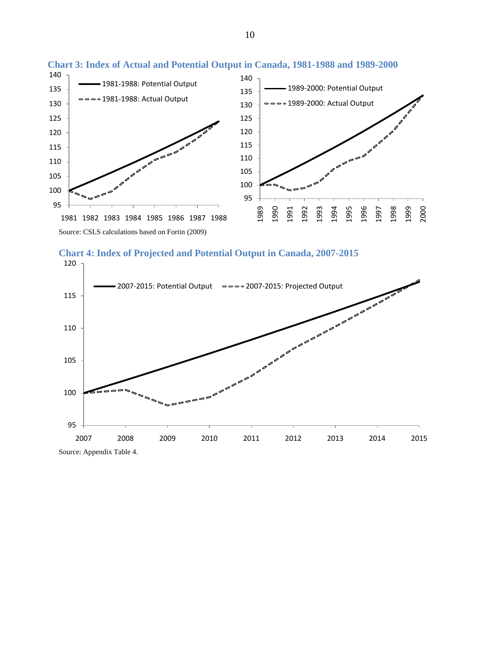

#### <span id="page-14-1"></span>**Chart 3: Index of Actual and Potential Output in Canada, 1981-1988 and 1989-2000**

<span id="page-14-2"></span>

<span id="page-14-0"></span>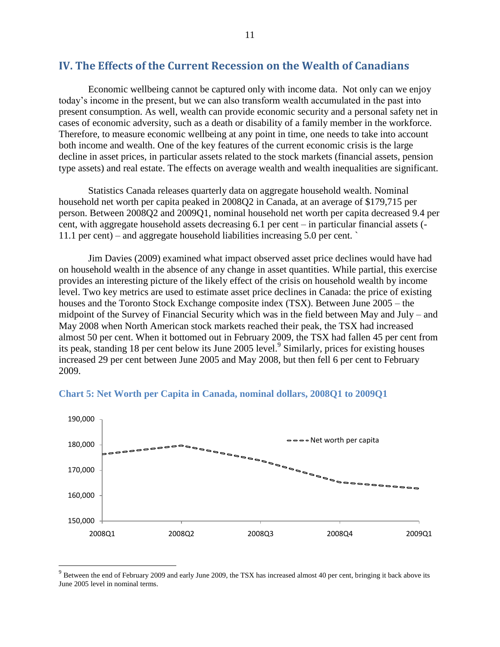## **IV. The Effects of the Current Recession on the Wealth of Canadians**

Economic wellbeing cannot be captured only with income data. Not only can we enjoy today's income in the present, but we can also transform wealth accumulated in the past into present consumption. As well, wealth can provide economic security and a personal safety net in cases of economic adversity, such as a death or disability of a family member in the workforce. Therefore, to measure economic wellbeing at any point in time, one needs to take into account both income and wealth. One of the key features of the current economic crisis is the large decline in asset prices, in particular assets related to the stock markets (financial assets, pension type assets) and real estate. The effects on average wealth and wealth inequalities are significant.

Statistics Canada releases quarterly data on aggregate household wealth. Nominal household net worth per capita peaked in 2008Q2 in Canada, at an average of \$179,715 per person. Between 2008Q2 and 2009Q1, nominal household net worth per capita decreased 9.4 per cent, with aggregate household assets decreasing 6.1 per cent – in particular financial assets (- 11.1 per cent) – and aggregate household liabilities increasing 5.0 per cent. `

Jim Davies (2009) examined what impact observed asset price declines would have had on household wealth in the absence of any change in asset quantities. While partial, this exercise provides an interesting picture of the likely effect of the crisis on household wealth by income level. Two key metrics are used to estimate asset price declines in Canada: the price of existing houses and the Toronto Stock Exchange composite index (TSX). Between June 2005 – the midpoint of the Survey of Financial Security which was in the field between May and July – and May 2008 when North American stock markets reached their peak, the TSX had increased almost 50 per cent. When it bottomed out in February 2009, the TSX had fallen 45 per cent from its peak, standing 18 per cent below its June 2005 level.<sup>9</sup> Similarly, prices for existing houses increased 29 per cent between June 2005 and May 2008, but then fell 6 per cent to February 2009.



#### **Chart 5: Net Worth per Capita in Canada, nominal dollars, 2008Q1 to 2009Q1**

 $\overline{a}$ 

 $9$  Between the end of February 2009 and early June 2009, the TSX has increased almost 40 per cent, bringing it back above its June 2005 level in nominal terms.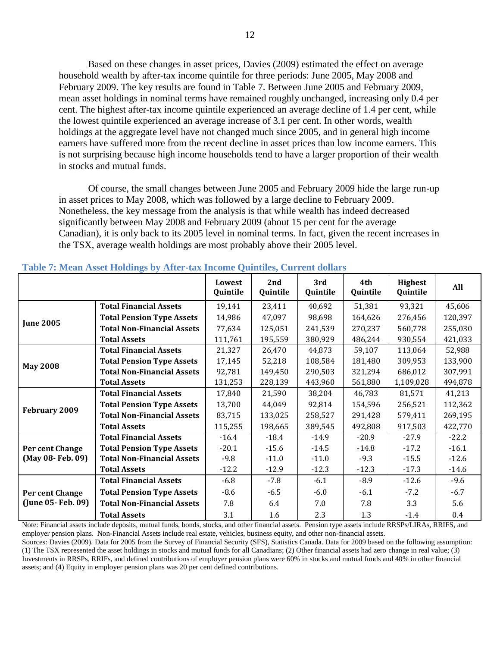Based on these changes in asset prices, Davies (2009) estimated the effect on average household wealth by after-tax income quintile for three periods: June 2005, May 2008 and February 2009. The key results are found in [Table 7.](#page-16-0) Between June 2005 and February 2009, mean asset holdings in nominal terms have remained roughly unchanged, increasing only 0.4 per cent. The highest after-tax income quintile experienced an average decline of 1.4 per cent, while the lowest quintile experienced an average increase of 3.1 per cent. In other words, wealth holdings at the aggregate level have not changed much since 2005, and in general high income earners have suffered more from the recent decline in asset prices than low income earners. This is not surprising because high income households tend to have a larger proportion of their wealth in stocks and mutual funds.

Of course, the small changes between June 2005 and February 2009 hide the large run-up in asset prices to May 2008, which was followed by a large decline to February 2009. Nonetheless, the key message from the analysis is that while wealth has indeed decreased significantly between May 2008 and February 2009 (about 15 per cent for the average Canadian), it is only back to its 2005 level in nominal terms. In fact, given the recent increases in the TSX, average wealth holdings are most probably above their 2005 level.

|                    |                                   | Lowest<br>Quintile | 2nd<br>Quintile | 3rd<br>Quintile | 4th<br>Quintile | Highest<br>Quintile | All     |
|--------------------|-----------------------------------|--------------------|-----------------|-----------------|-----------------|---------------------|---------|
|                    | <b>Total Financial Assets</b>     | 19,141             | 23,411          | 40,692          | 51,381          | 93,321              | 45,606  |
| <b>June 2005</b>   | <b>Total Pension Type Assets</b>  | 14,986             | 47,097          | 98,698          | 164,626         | 276,456             | 120,397 |
|                    | <b>Total Non-Financial Assets</b> | 77,634             | 125,051         | 241,539         | 270,237         | 560,778             | 255,030 |
|                    | <b>Total Assets</b>               | 111,761            | 195,559         | 380,929         | 486,244         | 930,554             | 421,033 |
|                    | <b>Total Financial Assets</b>     | 21,327             | 26,470          | 44,873          | 59,107          | 113,064             | 52,988  |
| <b>May 2008</b>    | <b>Total Pension Type Assets</b>  | 17,145             | 52,218          | 108,584         | 181,480         | 309,953             | 133,900 |
|                    | <b>Total Non-Financial Assets</b> | 92,781             | 149,450         | 290,503         | 321,294         | 686,012             | 307,991 |
|                    | <b>Total Assets</b>               | 131,253            | 228,139         | 443,960         | 561,880         | 1,109,028           | 494,878 |
|                    | <b>Total Financial Assets</b>     | 17,840             | 21,590          | 38,204          | 46,783          | 81,571              | 41,213  |
| February 2009      | <b>Total Pension Type Assets</b>  | 13,700             | 44,049          | 92,814          | 154,596         | 256,521             | 112,362 |
|                    | <b>Total Non-Financial Assets</b> | 83,715             | 133,025         | 258,527         | 291,428         | 579,411             | 269,195 |
|                    | <b>Total Assets</b>               | 115,255            | 198,665         | 389,545         | 492,808         | 917,503             | 422,770 |
|                    | <b>Total Financial Assets</b>     | $-16.4$            | $-18.4$         | $-14.9$         | $-20.9$         | $-27.9$             | $-22.2$ |
| Per cent Change    | <b>Total Pension Type Assets</b>  | $-20.1$            | $-15.6$         | $-14.5$         | $-14.8$         | $-17.2$             | $-16.1$ |
| (May 08-Feb. 09)   | <b>Total Non-Financial Assets</b> | $-9.8$             | $-11.0$         | $-11.0$         | $-9.3$          | $-15.5$             | $-12.6$ |
|                    | <b>Total Assets</b>               | $-12.2$            | $-12.9$         | $-12.3$         | $-12.3$         | $-17.3$             | $-14.6$ |
|                    | <b>Total Financial Assets</b>     | $-6.8$             | $-7.8$          | $-6.1$          | $-8.9$          | $-12.6$             | $-9.6$  |
| Per cent Change    | <b>Total Pension Type Assets</b>  | $-8.6$             | $-6.5$          | $-6.0$          | $-6.1$          | $-7.2$              | $-6.7$  |
| (June 05- Feb. 09) | <b>Total Non-Financial Assets</b> | 7.8                | 6.4             | 7.0             | 7.8             | 3.3                 | 5.6     |
|                    | <b>Total Assets</b>               | 3.1                | 1.6             | 2.3             | 1.3             | $-1.4$              | 0.4     |

#### <span id="page-16-0"></span>**Table 7: Mean Asset Holdings by After-tax Income Quintiles, Current dollars**

Note: Financial assets include deposits, mutual funds, bonds, stocks, and other financial assets. Pension type assets include RRSPs/LIRAs, RRIFS, and employer pension plans. Non-Financial Assets include real estate, vehicles, business equity, and other non-financial assets. Sources: Davies (2009). Data for 2005 from the Survey of Financial Security (SFS), Statistics Canada. Data for 2009 based on the following assumption:

(1) The TSX represented the asset holdings in stocks and mutual funds for all Canadians; (2) Other financial assets had zero change in real value; (3) Investments in RRSPs, RRIFs, and defined contributions of employer pension plans were 60% in stocks and mutual funds and 40% in other financial assets; and (4) Equity in employer pension plans was 20 per cent defined contributions.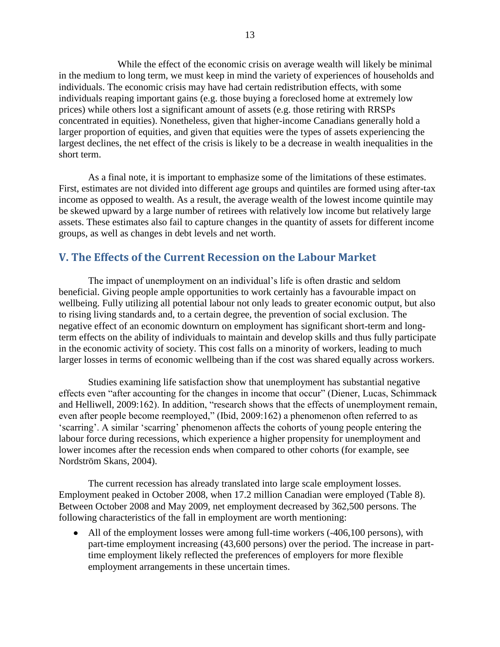While the effect of the economic crisis on average wealth will likely be minimal in the medium to long term, we must keep in mind the variety of experiences of households and individuals. The economic crisis may have had certain redistribution effects, with some individuals reaping important gains (e.g. those buying a foreclosed home at extremely low prices) while others lost a significant amount of assets (e.g. those retiring with RRSPs concentrated in equities). Nonetheless, given that higher-income Canadians generally hold a larger proportion of equities, and given that equities were the types of assets experiencing the largest declines, the net effect of the crisis is likely to be a decrease in wealth inequalities in the short term.

As a final note, it is important to emphasize some of the limitations of these estimates. First, estimates are not divided into different age groups and quintiles are formed using after-tax income as opposed to wealth. As a result, the average wealth of the lowest income quintile may be skewed upward by a large number of retirees with relatively low income but relatively large assets. These estimates also fail to capture changes in the quantity of assets for different income groups, as well as changes in debt levels and net worth.

## <span id="page-17-0"></span>**V. The Effects of the Current Recession on the Labour Market**

The impact of unemployment on an individual's life is often drastic and seldom beneficial. Giving people ample opportunities to work certainly has a favourable impact on wellbeing. Fully utilizing all potential labour not only leads to greater economic output, but also to rising living standards and, to a certain degree, the prevention of social exclusion. The negative effect of an economic downturn on employment has significant short-term and longterm effects on the ability of individuals to maintain and develop skills and thus fully participate in the economic activity of society. This cost falls on a minority of workers, leading to much larger losses in terms of economic wellbeing than if the cost was shared equally across workers.

Studies examining life satisfaction show that unemployment has substantial negative effects even "after accounting for the changes in income that occur" (Diener, Lucas, Schimmack and Helliwell, 2009:162). In addition, "research shows that the effects of unemployment remain, even after people become reemployed," (Ibid, 2009:162) a phenomenon often referred to as ‗scarring'. A similar ‗scarring' phenomenon affects the cohorts of young people entering the labour force during recessions, which experience a higher propensity for unemployment and lower incomes after the recession ends when compared to other cohorts (for example, see Nordström Skans, 2004).

The current recession has already translated into large scale employment losses. Employment peaked in October 2008, when 17.2 million Canadian were employed [\(Table 8\)](#page-18-0). Between October 2008 and May 2009, net employment decreased by 362,500 persons. The following characteristics of the fall in employment are worth mentioning:

• All of the employment losses were among full-time workers (-406,100 persons), with part-time employment increasing (43,600 persons) over the period. The increase in parttime employment likely reflected the preferences of employers for more flexible employment arrangements in these uncertain times.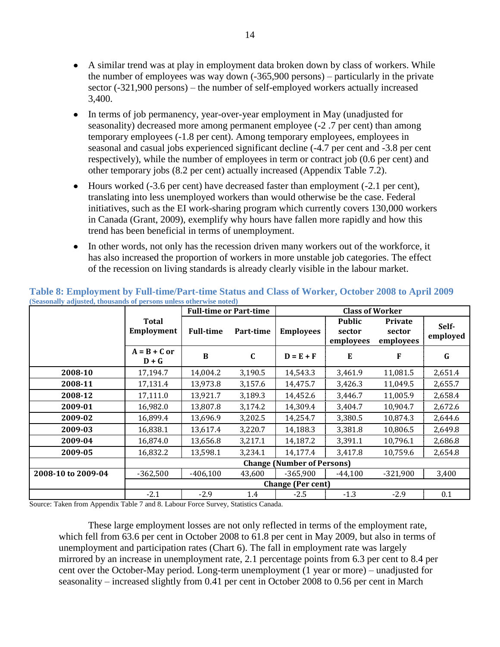- A similar trend was at play in employment data broken down by class of workers. While the number of employees was way down (-365,900 persons) – particularly in the private sector (-321,900 persons) – the number of self-employed workers actually increased 3,400.
- In terms of job permanency, year-over-year employment in May (unadjusted for seasonality) decreased more among permanent employee (-2 .7 per cent) than among temporary employees (-1.8 per cent). Among temporary employees, employees in seasonal and casual jobs experienced significant decline (-4.7 per cent and -3.8 per cent respectively), while the number of employees in term or contract job (0.6 per cent) and other temporary jobs (8.2 per cent) actually increased (Appendix Table 7.2).
- Hours worked (-3.6 per cent) have decreased faster than employment (-2.1 per cent), translating into less unemployed workers than would otherwise be the case. Federal initiatives, such as the EI work-sharing program which currently covers 130,000 workers in Canada (Grant, 2009), exemplify why hours have fallen more rapidly and how this trend has been beneficial in terms of unemployment.
- In other words, not only has the recession driven many workers out of the workforce, it has also increased the proportion of workers in more unstable job categories. The effect of the recession on living standards is already clearly visible in the labour market.

| $\mu$ , $\mu$ , $\mu$ , $\mu$ , $\mu$ , $\mu$ , $\mu$ , $\mu$ , $\mu$ , $\mu$ , $\mu$ , $\mu$ , $\mu$ , $\mu$ , $\mu$ , $\mu$ , $\mu$ , $\mu$ , $\mu$ , $\mu$ , $\mu$ , $\mu$ , $\mu$ , $\mu$ , $\mu$ , $\mu$ , $\mu$ , $\mu$ , $\mu$ , $\mu$ , $\mu$ , $\mu$ |                                   |                  | <b>Full-time or Part-time</b> | <b>Class of Worker</b>   |                                      |                                       |                   |
|---------------------------------------------------------------------------------------------------------------------------------------------------------------------------------------------------------------------------------------------------------------|-----------------------------------|------------------|-------------------------------|--------------------------|--------------------------------------|---------------------------------------|-------------------|
|                                                                                                                                                                                                                                                               | <b>Total</b><br>Employment        | <b>Full-time</b> | Part-time                     | <b>Employees</b>         | <b>Public</b><br>sector<br>employees | <b>Private</b><br>sector<br>employees | Self-<br>employed |
|                                                                                                                                                                                                                                                               | $A = B + C$ or<br>$D + G$         | B                | $\mathbf{C}$                  | $D = E + F$              | E                                    | F                                     | G                 |
| 2008-10                                                                                                                                                                                                                                                       | 17,194.7                          | 14,004.2         | 3,190.5                       | 14,543.3                 | 3,461.9                              | 11,081.5                              | 2,651.4           |
| 2008-11                                                                                                                                                                                                                                                       | 17,131.4                          | 13,973.8         | 3,157.6                       | 14,475.7                 | 3,426.3                              | 11,049.5                              | 2,655.7           |
| 2008-12                                                                                                                                                                                                                                                       | 17,111.0                          | 13,921.7         | 3,189.3                       | 14,452.6                 | 3,446.7                              | 11,005.9                              | 2,658.4           |
| 2009-01                                                                                                                                                                                                                                                       | 16,982.0                          | 13,807.8         | 3,174.2                       | 14,309.4                 | 3,404.7                              | 10,904.7                              | 2,672.6           |
| 2009-02                                                                                                                                                                                                                                                       | 16,899.4                          | 13,696.9         | 3,202.5                       | 14,254.7                 | 3,380.5                              | 10,874.3                              | 2,644.6           |
| 2009-03                                                                                                                                                                                                                                                       | 16,838.1                          | 13,617.4         | 3,220.7                       | 14,188.3                 | 3,381.8                              | 10,806.5                              | 2,649.8           |
| 2009-04                                                                                                                                                                                                                                                       | 16,874.0                          | 13,656.8         | 3,217.1                       | 14,187.2                 | 3,391.1                              | 10,796.1                              | 2,686.8           |
| 2009-05                                                                                                                                                                                                                                                       | 16,832.2                          | 13,598.1         | 3,234.1                       | 14,177.4                 | 3,417.8                              | 10,759.6                              | 2,654.8           |
|                                                                                                                                                                                                                                                               | <b>Change (Number of Persons)</b> |                  |                               |                          |                                      |                                       |                   |
| 2008-10 to 2009-04                                                                                                                                                                                                                                            | $-362,500$                        | $-406.100$       | 43,600                        | $-365.900$               | $-44,100$                            | $-321.900$                            | 3,400             |
|                                                                                                                                                                                                                                                               |                                   |                  |                               | <b>Change (Per cent)</b> |                                      |                                       |                   |
|                                                                                                                                                                                                                                                               | $-2.1$                            | $-2.9$           | 1.4                           | $-2.5$                   | $-1.3$                               | $-2.9$                                | 0.1               |

<span id="page-18-0"></span>**Table 8: Employment by Full-time/Part-time Status and Class of Worker, October 2008 to April 2009 (Seasonally adjusted, thousands of persons unless otherwise noted)**

Source: Taken from Appendix Table 7 and 8. Labour Force Survey, Statistics Canada.

These large employment losses are not only reflected in terms of the employment rate, which fell from 63.6 per cent in October 2008 to 61.8 per cent in May 2009, but also in terms of unemployment and participation rates [\(Chart 6\)](#page-19-0). The fall in employment rate was largely mirrored by an increase in unemployment rate, 2.1 percentage points from 6.3 per cent to 8.4 per cent over the October-May period. Long-term unemployment (1 year or more) – unadjusted for seasonality – increased slightly from 0.41 per cent in October 2008 to 0.56 per cent in March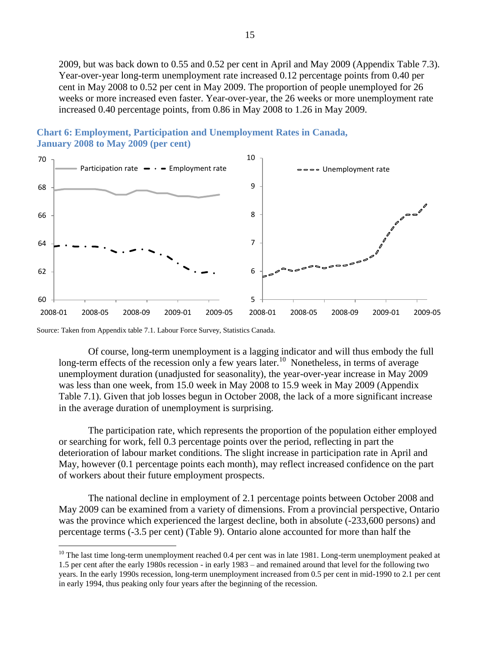2009, but was back down to 0.55 and 0.52 per cent in April and May 2009 (Appendix Table 7.3). Year-over-year long-term unemployment rate increased 0.12 percentage points from 0.40 per cent in May 2008 to 0.52 per cent in May 2009. The proportion of people unemployed for 26 weeks or more increased even faster. Year-over-year, the 26 weeks or more unemployment rate increased 0.40 percentage points, from 0.86 in May 2008 to 1.26 in May 2009.



<span id="page-19-0"></span>**Chart 6: Employment, Participation and Unemployment Rates in Canada, January 2008 to May 2009 (per cent)**

Source: Taken from Appendix table 7.1. Labour Force Survey, Statistics Canada.

 $\overline{a}$ 

Of course, long-term unemployment is a lagging indicator and will thus embody the full long-term effects of the recession only a few years later.<sup>10</sup> Nonetheless, in terms of average unemployment duration (unadjusted for seasonality), the year-over-year increase in May 2009 was less than one week, from 15.0 week in May 2008 to 15.9 week in May 2009 (Appendix Table 7.1). Given that job losses begun in October 2008, the lack of a more significant increase in the average duration of unemployment is surprising.

The participation rate, which represents the proportion of the population either employed or searching for work, fell 0.3 percentage points over the period, reflecting in part the deterioration of labour market conditions. The slight increase in participation rate in April and May, however (0.1 percentage points each month), may reflect increased confidence on the part of workers about their future employment prospects.

The national decline in employment of 2.1 percentage points between October 2008 and May 2009 can be examined from a variety of dimensions. From a provincial perspective, Ontario was the province which experienced the largest decline, both in absolute (-233,600 persons) and percentage terms (-3.5 per cent) [\(Table 9\)](#page-20-0). Ontario alone accounted for more than half the

<sup>&</sup>lt;sup>10</sup> The last time long-term unemployment reached 0.4 per cent was in late 1981. Long-term unemployment peaked at 1.5 per cent after the early 1980s recession - in early 1983 – and remained around that level for the following two years. In the early 1990s recession, long-term unemployment increased from 0.5 per cent in mid-1990 to 2.1 per cent in early 1994, thus peaking only four years after the beginning of the recession.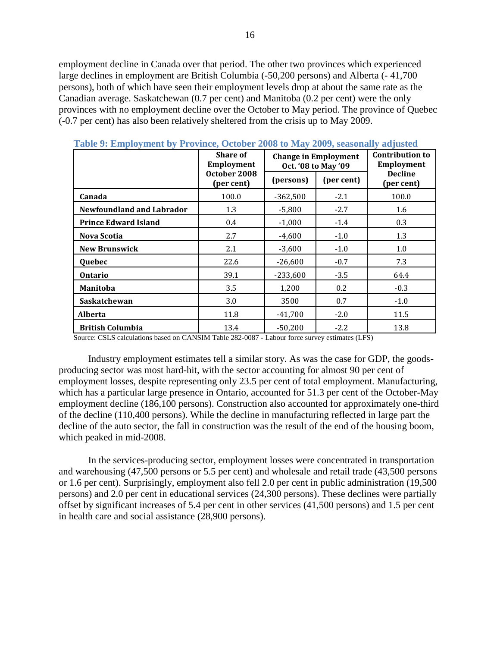employment decline in Canada over that period. The other two provinces which experienced large declines in employment are British Columbia (-50,200 persons) and Alberta (- 41,700 persons), both of which have seen their employment levels drop at about the same rate as the Canadian average. Saskatchewan (0.7 per cent) and Manitoba (0.2 per cent) were the only provinces with no employment decline over the October to May period. The province of Quebec (-0.7 per cent) has also been relatively sheltered from the crisis up to May 2009.

|                                  | <b>Share of</b><br><b>Employment</b> |            | <b>Change in Employment</b><br>Oct. '08 to May '09 |                              |  |
|----------------------------------|--------------------------------------|------------|----------------------------------------------------|------------------------------|--|
|                                  | October 2008<br>(per cent)           | (persons)  | (per cent)                                         | <b>Decline</b><br>(per cent) |  |
| Canada                           | 100.0                                | $-362,500$ | $-2.1$                                             | 100.0                        |  |
| <b>Newfoundland and Labrador</b> | 1.3                                  | $-5,800$   | $-2.7$                                             | 1.6                          |  |
| <b>Prince Edward Island</b>      | 0.4                                  | $-1,000$   | $-1.4$                                             | 0.3                          |  |
| <b>Nova Scotia</b>               | 2.7                                  | $-4,600$   | $-1.0$                                             | 1.3                          |  |
| <b>New Brunswick</b>             | 2.1                                  | $-3,600$   | $-1.0$                                             | 1.0                          |  |
| Quebec                           | 22.6                                 | $-26,600$  | $-0.7$                                             | 7.3                          |  |
| <b>Ontario</b>                   | 39.1                                 | $-233,600$ | $-3.5$                                             | 64.4                         |  |
| <b>Manitoba</b>                  | 3.5                                  | 1,200      | 0.2                                                | $-0.3$                       |  |
| Saskatchewan                     | 3.0                                  | 3500       | 0.7                                                | $-1.0$                       |  |
| <b>Alberta</b>                   | 11.8                                 |            | $-2.0$                                             | 11.5                         |  |
| <b>British Columbia</b>          | 13.4                                 | $-50.200$  | $-2.2$                                             | 13.8                         |  |

<span id="page-20-0"></span>**Table 9: Employment by Province, October 2008 to May 2009, seasonally adjusted**

Source: CSLS calculations based on CANSIM Table 282-0087 - Labour force survey estimates (LFS)

Industry employment estimates tell a similar story. As was the case for GDP, the goodsproducing sector was most hard-hit, with the sector accounting for almost 90 per cent of employment losses, despite representing only 23.5 per cent of total employment. Manufacturing, which has a particular large presence in Ontario, accounted for 51.3 per cent of the October-May employment decline (186,100 persons). Construction also accounted for approximately one-third of the decline (110,400 persons). While the decline in manufacturing reflected in large part the decline of the auto sector, the fall in construction was the result of the end of the housing boom, which peaked in mid-2008.

In the services-producing sector, employment losses were concentrated in transportation and warehousing (47,500 persons or 5.5 per cent) and wholesale and retail trade (43,500 persons or 1.6 per cent). Surprisingly, employment also fell 2.0 per cent in public administration (19,500 persons) and 2.0 per cent in educational services (24,300 persons). These declines were partially offset by significant increases of 5.4 per cent in other services (41,500 persons) and 1.5 per cent in health care and social assistance (28,900 persons).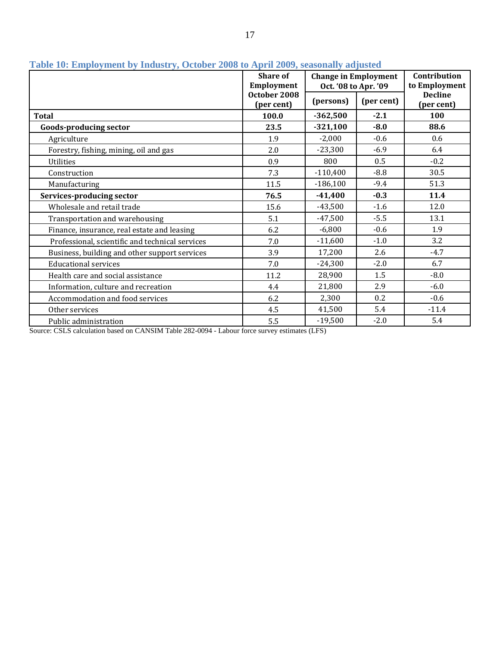|                                                 | <b>Share of</b><br>Employment | <b>Change in Employment</b><br>Oct. '08 to Apr. '09 |            | Contribution<br>to Employment |
|-------------------------------------------------|-------------------------------|-----------------------------------------------------|------------|-------------------------------|
|                                                 | October 2008<br>(per cent)    | (persons)                                           | (per cent) | <b>Decline</b><br>(per cent)  |
| <b>Total</b>                                    | 100.0                         | $-362,500$                                          | $-2.1$     | 100                           |
| <b>Goods-producing sector</b>                   | 23.5                          | $-321,100$                                          | $-8.0$     | 88.6                          |
| Agriculture                                     | 1.9                           | $-2,000$                                            | $-0.6$     | 0.6                           |
| Forestry, fishing, mining, oil and gas          | 2.0                           | $-23,300$                                           | $-6.9$     | 6.4                           |
| <b>Utilities</b>                                | 0.9                           | 800                                                 | 0.5        | $-0.2$                        |
| Construction                                    | 7.3                           | $-110,400$                                          | $-8.8$     | 30.5                          |
| Manufacturing                                   | 11.5                          | $-186,100$                                          | $-9.4$     | 51.3                          |
| Services-producing sector                       | 76.5                          | $-41,400$                                           | $-0.3$     | 11.4                          |
| Wholesale and retail trade                      | 15.6                          | $-43,500$                                           | $-1.6$     | 12.0                          |
| Transportation and warehousing                  | 5.1                           | $-47,500$                                           | $-5.5$     | 13.1                          |
| Finance, insurance, real estate and leasing     | 6.2                           | $-6,800$                                            | $-0.6$     | 1.9                           |
| Professional, scientific and technical services | 7.0                           | $-11,600$                                           | $-1.0$     | 3.2                           |
| Business, building and other support services   | 3.9                           | 17,200                                              | 2.6        | $-4.7$                        |
| <b>Educational services</b>                     | 7.0                           | $-24,300$                                           | $-2.0$     | 6.7                           |
| Health care and social assistance               | 11.2                          | 28,900                                              | 1.5        | $-8.0$                        |
| Information, culture and recreation             | 4.4                           | 21,800                                              | 2.9        | $-6.0$                        |
| Accommodation and food services                 | 6.2                           | 2,300                                               | 0.2        | $-0.6$                        |
| Other services                                  | 4.5                           | 41,500                                              | 5.4        | $-11.4$                       |
| Public administration                           | 5.5                           | $-19,500$                                           | $-2.0$     | 5.4                           |

# **Table 10: Employment by Industry, October 2008 to April 2009, seasonally adjusted**

<span id="page-21-0"></span>Source: CSLS calculation based on CANSIM Table 282-0094 - Labour force survey estimates (LFS)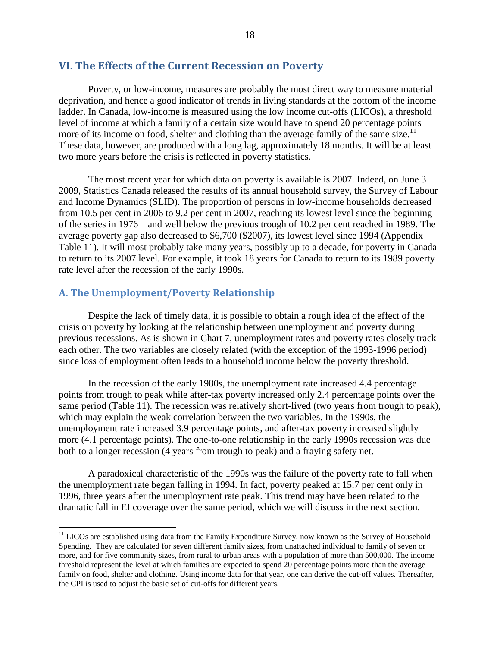## **VI. The Effects of the Current Recession on Poverty**

Poverty, or low-income, measures are probably the most direct way to measure material deprivation, and hence a good indicator of trends in living standards at the bottom of the income ladder. In Canada, low-income is measured using the low income cut-offs (LICOs), a threshold level of income at which a family of a certain size would have to spend 20 percentage points more of its income on food, shelter and clothing than the average family of the same size.<sup>11</sup> These data, however, are produced with a long lag, approximately 18 months. It will be at least two more years before the crisis is reflected in poverty statistics.

The most recent year for which data on poverty is available is 2007. Indeed, on June 3 2009, Statistics Canada released the results of its annual household survey, the Survey of Labour and Income Dynamics (SLID). The proportion of persons in low-income households decreased from 10.5 per cent in 2006 to 9.2 per cent in 2007, reaching its lowest level since the beginning of the series in 1976 – and well below the previous trough of 10.2 per cent reached in 1989. The average poverty gap also decreased to \$6,700 (\$2007), its lowest level since 1994 (Appendix Table 11). It will most probably take many years, possibly up to a decade, for poverty in Canada to return to its 2007 level. For example, it took 18 years for Canada to return to its 1989 poverty rate level after the recession of the early 1990s.

## <span id="page-22-0"></span>**A. The Unemployment/Poverty Relationship**

 $\overline{a}$ 

Despite the lack of timely data, it is possible to obtain a rough idea of the effect of the crisis on poverty by looking at the relationship between unemployment and poverty during previous recessions. As is shown in [Chart 7,](#page-23-0) unemployment rates and poverty rates closely track each other. The two variables are closely related (with the exception of the 1993-1996 period) since loss of employment often leads to a household income below the poverty threshold.

In the recession of the early 1980s, the unemployment rate increased 4.4 percentage points from trough to peak while after-tax poverty increased only 2.4 percentage points over the same period [\(Table 11\)](#page-23-1). The recession was relatively short-lived (two years from trough to peak), which may explain the weak correlation between the two variables. In the 1990s, the unemployment rate increased 3.9 percentage points, and after-tax poverty increased slightly more (4.1 percentage points). The one-to-one relationship in the early 1990s recession was due both to a longer recession (4 years from trough to peak) and a fraying safety net.

A paradoxical characteristic of the 1990s was the failure of the poverty rate to fall when the unemployment rate began falling in 1994. In fact, poverty peaked at 15.7 per cent only in 1996, three years after the unemployment rate peak. This trend may have been related to the dramatic fall in EI coverage over the same period, which we will discuss in the next section.

<sup>&</sup>lt;sup>11</sup> LICOs are established using data from the Family Expenditure Survey, now known as the Survey of Household Spending. They are calculated for seven different family sizes, from unattached individual to family of seven or more, and for five community sizes, from rural to urban areas with a population of more than 500,000. The income threshold represent the level at which families are expected to spend 20 percentage points more than the average family on food, shelter and clothing. Using income data for that year, one can derive the cut-off values. Thereafter, the CPI is used to adjust the basic set of cut-offs for different years.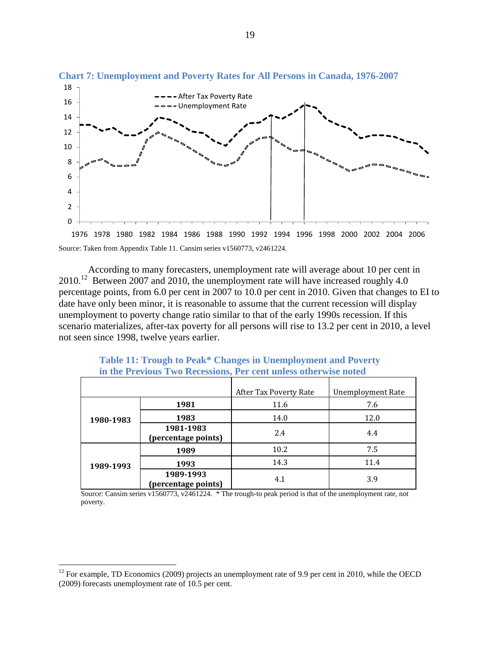

<span id="page-23-0"></span>**Chart 7: Unemployment and Poverty Rates for All Persons in Canada, 1976-2007**

According to many forecasters, unemployment rate will average about 10 per cent in 2010.<sup>12</sup> Between 2007 and 2010, the unemployment rate will have increased roughly 4.0 percentage points, from 6.0 per cent in 2007 to 10.0 per cent in 2010. Given that changes to EI to date have only been minor, it is reasonable to assume that the current recession will display unemployment to poverty change ratio similar to that of the early 1990s recession. If this scenario materializes, after-tax poverty for all persons will rise to 13.2 per cent in 2010, a level not seen since 1998, twelve years earlier.

<span id="page-23-1"></span>

|           |                                  | After Tax Poverty Rate | Unemployment Rate |
|-----------|----------------------------------|------------------------|-------------------|
|           | 1981                             | 11.6                   | 7.6               |
| 1980-1983 | 1983                             | 14.0                   | 12.0              |
|           | 1981-1983<br>(percentage points) | 2.4                    | 4.4               |
|           | 1989                             | 10.2                   | 7.5               |
| 1989-1993 | 1993                             | 14.3                   | 11.4              |
|           | 1989-1993<br>(percentage points) | 4.1                    | 3.9               |

**Table 11: Trough to Peak\* Changes in Unemployment and Poverty in the Previous Two Recessions, Per cent unless otherwise noted**

Source: Cansim series v1560773, v2461224. \* The trough-to peak period is that of the unemployment rate, not poverty.

 $\overline{a}$ 

 $12$  For example, TD Economics (2009) projects an unemployment rate of 9.9 per cent in 2010, while the OECD (2009) forecasts unemployment rate of 10.5 per cent.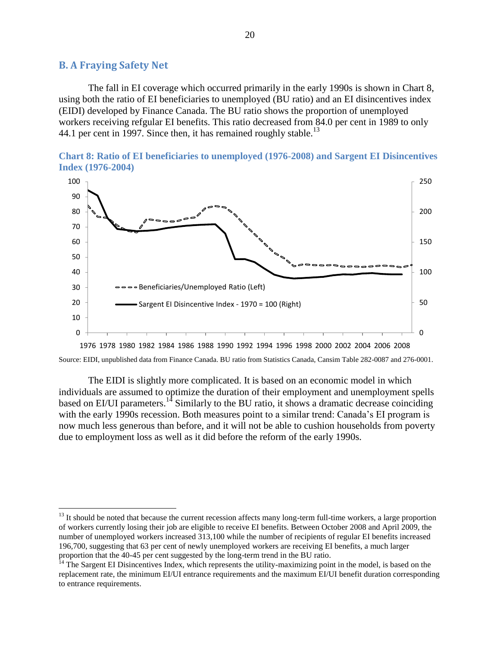#### <span id="page-24-0"></span>**B. A Fraying Safety Net**

 $\overline{a}$ 

The fall in EI coverage which occurred primarily in the early 1990s is shown in [Chart 8,](#page-24-1) using both the ratio of EI beneficiaries to unemployed (BU ratio) and an EI disincentives index (EIDI) developed by Finance Canada. The BU ratio shows the proportion of unemployed workers receiving refgular EI benefits. This ratio decreased from 84.0 per cent in 1989 to only 44.1 per cent in 1997. Since then, it has remained roughly stable.<sup>13</sup>

<span id="page-24-1"></span>



Source: EIDI, unpublished data from Finance Canada. BU ratio from Statistics Canada, Cansim Table 282-0087 and 276-0001.

The EIDI is slightly more complicated. It is based on an economic model in which individuals are assumed to optimize the duration of their employment and unemployment spells based on EI/UI parameters.<sup>14</sup> Similarly to the BU ratio, it shows a dramatic decrease coinciding with the early 1990s recession. Both measures point to a similar trend: Canada's EI program is now much less generous than before, and it will not be able to cushion households from poverty due to employment loss as well as it did before the reform of the early 1990s.

<sup>&</sup>lt;sup>13</sup> It should be noted that because the current recession affects many long-term full-time workers, a large proportion of workers currently losing their job are eligible to receive EI benefits. Between October 2008 and April 2009, the number of unemployed workers increased 313,100 while the number of recipients of regular EI benefits increased 196,700, suggesting that 63 per cent of newly unemployed workers are receiving EI benefits, a much larger proportion that the 40-45 per cent suggested by the long-term trend in the BU ratio.

<sup>&</sup>lt;sup>14</sup> The Sargent EI Disincentives Index, which represents the utility-maximizing point in the model, is based on the replacement rate, the minimum EI/UI entrance requirements and the maximum EI/UI benefit duration corresponding to entrance requirements.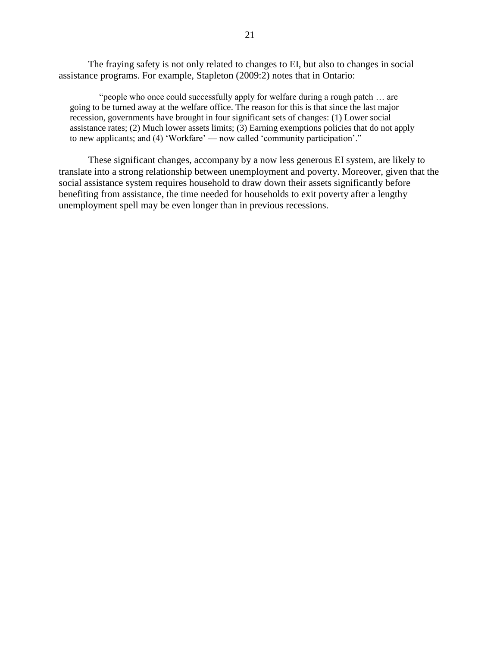The fraying safety is not only related to changes to EI, but also to changes in social assistance programs. For example, Stapleton (2009:2) notes that in Ontario:

"people who once could successfully apply for welfare during a rough patch ... are going to be turned away at the welfare office. The reason for this is that since the last major recession, governments have brought in four significant sets of changes: (1) Lower social assistance rates; (2) Much lower assets limits; (3) Earning exemptions policies that do not apply to new applicants; and (4) 'Workfare' — now called 'community participation'."

<span id="page-25-0"></span>These significant changes, accompany by a now less generous EI system, are likely to translate into a strong relationship between unemployment and poverty. Moreover, given that the social assistance system requires household to draw down their assets significantly before benefiting from assistance, the time needed for households to exit poverty after a lengthy unemployment spell may be even longer than in previous recessions.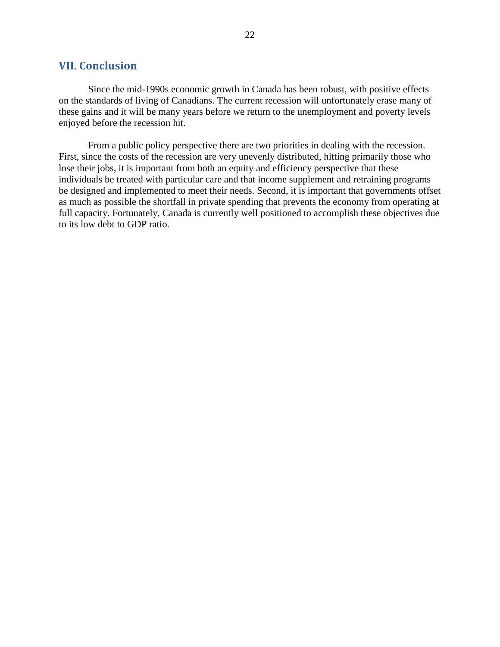## **VII. Conclusion**

Since the mid-1990s economic growth in Canada has been robust, with positive effects on the standards of living of Canadians. The current recession will unfortunately erase many of these gains and it will be many years before we return to the unemployment and poverty levels enjoyed before the recession hit.

<span id="page-26-0"></span>From a public policy perspective there are two priorities in dealing with the recession. First, since the costs of the recession are very unevenly distributed, hitting primarily those who lose their jobs, it is important from both an equity and efficiency perspective that these individuals be treated with particular care and that income supplement and retraining programs be designed and implemented to meet their needs. Second, it is important that governments offset as much as possible the shortfall in private spending that prevents the economy from operating at full capacity. Fortunately, Canada is currently well positioned to accomplish these objectives due to its low debt to GDP ratio.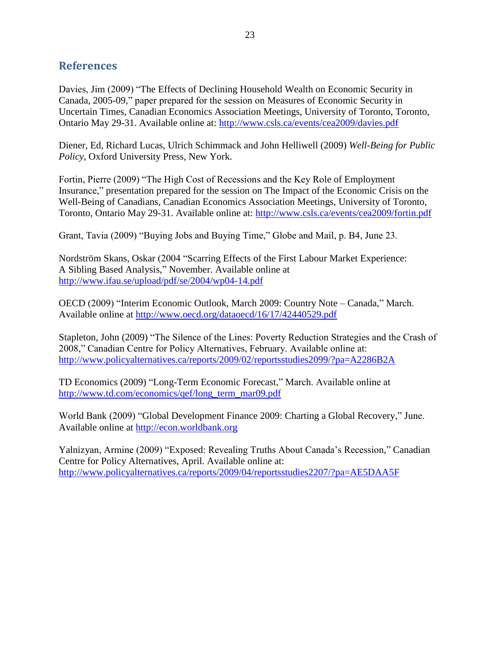# **References**

Davies, Jim (2009) "The Effects of Declining Household Wealth on Economic Security in Canada, 2005-09," paper prepared for the session on Measures of Economic Security in Uncertain Times, Canadian Economics Association Meetings, University of Toronto, Toronto, Ontario May 29-31. Available online at:<http://www.csls.ca/events/cea2009/davies.pdf>

Diener, Ed, Richard Lucas, Ulrich Schimmack and John Helliwell (2009) *Well-Being for Public Policy*, Oxford University Press, New York.

Fortin, Pierre (2009) "The High Cost of Recessions and the Key Role of Employment Insurance," presentation prepared for the session on The Impact of the Economic Crisis on the Well-Being of Canadians, Canadian Economics Association Meetings, University of Toronto, Toronto, Ontario May 29-31. Available online at:<http://www.csls.ca/events/cea2009/fortin.pdf>

Grant, Tavia (2009) "Buying Jobs and Buying Time," Globe and Mail, p. B4, June 23.

Nordström Skans, Oskar (2004 "Scarring Effects of the First Labour Market Experience: A Sibling Based Analysis," November. Available online at <http://www.ifau.se/upload/pdf/se/2004/wp04-14.pdf>

OECD (2009) "Interim Economic Outlook, March 2009: Country Note – Canada," March. Available online at<http://www.oecd.org/dataoecd/16/17/42440529.pdf>

Stapleton, John (2009) "The Silence of the Lines: Poverty Reduction Strategies and the Crash of 2008," Canadian Centre for Policy Alternatives, February. Available online at: <http://www.policyalternatives.ca/reports/2009/02/reportsstudies2099/?pa=A2286B2A>

TD Economics (2009) "Long-Term Economic Forecast," March. Available online at [http://www.td.com/economics/qef/long\\_term\\_mar09.pdf](http://www.td.com/economics/qef/long_term_mar09.pdf)

World Bank (2009) "Global Development Finance 2009: Charting a Global Recovery," June. Available online at [http://econ.worldbank.org](http://econ.worldbank.org/)

Yalnizyan, Armine (2009) "Exposed: Revealing Truths About Canada's Recession," Canadian Centre for Policy Alternatives, April. Available online at: <http://www.policyalternatives.ca/reports/2009/04/reportsstudies2207/?pa=AE5DAA5F>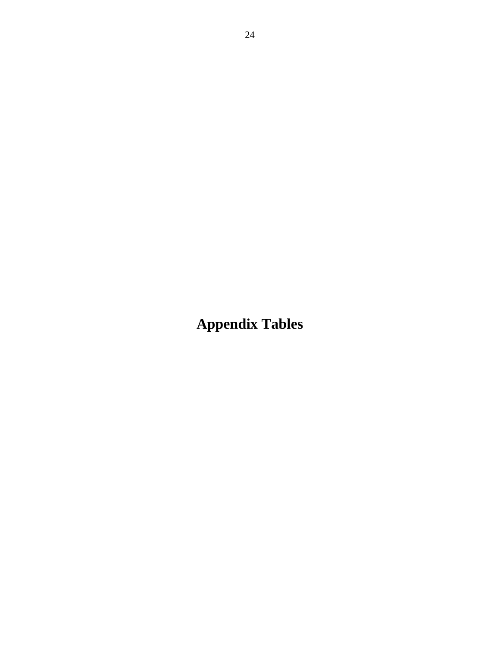**Appendix Tables**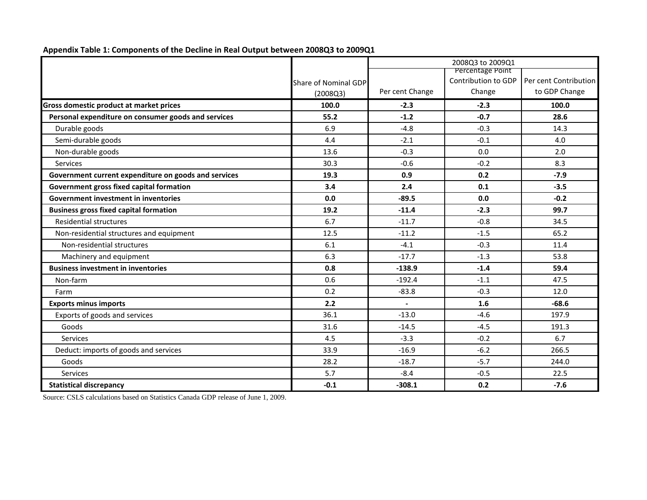|                                                      |                             |                 | 2008Q3 to 2009Q1    |                       |
|------------------------------------------------------|-----------------------------|-----------------|---------------------|-----------------------|
|                                                      |                             |                 | Percentage Point    |                       |
|                                                      | <b>Share of Nominal GDP</b> |                 | Contribution to GDP | Per cent Contribution |
|                                                      | (2008Q3)                    | Per cent Change | Change              | to GDP Change         |
| Gross domestic product at market prices              | 100.0                       | $-2.3$          | $-2.3$              | 100.0                 |
| Personal expenditure on consumer goods and services  | 55.2                        | $-1.2$          | $-0.7$              | 28.6                  |
| Durable goods                                        | 6.9                         | $-4.8$          | $-0.3$              | 14.3                  |
| Semi-durable goods                                   | 4.4                         | $-2.1$          | $-0.1$              | 4.0                   |
| Non-durable goods                                    | 13.6                        | $-0.3$          | 0.0                 | 2.0                   |
| Services                                             | 30.3                        | $-0.6$          | $-0.2$              | 8.3                   |
| Government current expenditure on goods and services | 19.3                        | 0.9             | 0.2                 | $-7.9$                |
| Government gross fixed capital formation             | 3.4                         | 2.4             | 0.1                 | $-3.5$                |
| <b>Government investment in inventories</b>          | 0.0                         | $-89.5$         | 0.0                 | $-0.2$                |
| <b>Business gross fixed capital formation</b>        | 19.2                        | $-11.4$         | $-2.3$              | 99.7                  |
| <b>Residential structures</b>                        | 6.7                         | $-11.7$         | $-0.8$              | 34.5                  |
| Non-residential structures and equipment             | 12.5                        | $-11.2$         | $-1.5$              | 65.2                  |
| Non-residential structures                           | 6.1                         | $-4.1$          | $-0.3$              | 11.4                  |
| Machinery and equipment                              | 6.3                         | $-17.7$         | $-1.3$              | 53.8                  |
| <b>Business investment in inventories</b>            | 0.8                         | $-138.9$        | $-1.4$              | 59.4                  |
| Non-farm                                             | 0.6                         | $-192.4$        | $-1.1$              | 47.5                  |
| Farm                                                 | 0.2                         | $-83.8$         | $-0.3$              | 12.0                  |
| <b>Exports minus imports</b>                         | 2.2                         |                 | 1.6                 | $-68.6$               |
| Exports of goods and services                        | 36.1                        | $-13.0$         | $-4.6$              | 197.9                 |
| Goods                                                | 31.6                        | $-14.5$         | $-4.5$              | 191.3                 |
| Services                                             | 4.5                         | $-3.3$          | $-0.2$              | 6.7                   |
| Deduct: imports of goods and services                | 33.9                        | $-16.9$         | $-6.2$              | 266.5                 |
| Goods                                                | 28.2                        | $-18.7$         | $-5.7$              | 244.0                 |
| Services                                             | 5.7                         | $-8.4$          | $-0.5$              | 22.5                  |
| <b>Statistical discrepancy</b>                       | $-0.1$                      | $-308.1$        | 0.2                 | $-7.6$                |

**Appendix Table 1: Components of the Decline in Real Output between 2008Q3 to 2009Q1**

Source: CSLS calculations based on Statistics Canada GDP release of June 1, 2009.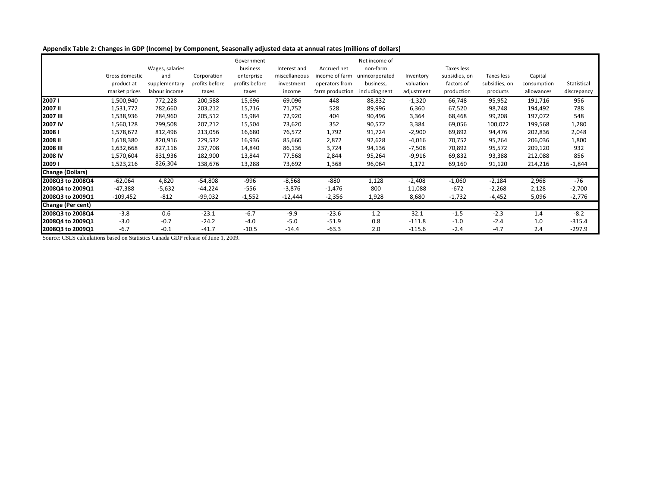**Appendix Table 2: Changes in GDP (Income) by Component, Seasonally adjusted data at annual rates (millions of dollars)**

|                          |                | Wages, salaries |                | Government<br>business | Interest and  | Accrued net     | Net income of<br>non-farm |            | Taxes less    |               |             |             |
|--------------------------|----------------|-----------------|----------------|------------------------|---------------|-----------------|---------------------------|------------|---------------|---------------|-------------|-------------|
|                          | Gross domestic | and             | Corporation    | enterprise             | miscellaneous | income of farm  | unincorporated            | Inventory  | subsidies, on | Taxes less    | Capital     |             |
|                          | product at     | supplementary   | profits before | profits before         | investment    | operators from  | business,                 | valuation  | factors of    | subsidies, on | consumption | Statistical |
|                          | market prices  | labour income   | taxes          | taxes                  | income        | farm production | including rent            | adjustment | production    | products      | allowances  | discrepancy |
| 20071                    | 1,500,940      | 772,228         | 200,588        | 15,696                 | 69,096        | 448             | 88,832                    | $-1,320$   | 66,748        | 95,952        | 191,716     | 956         |
| <b>2007II</b>            | 1,531,772      | 782,660         | 203,212        | 15,716                 | 71,752        | 528             | 89,996                    | 6,360      | 67,520        | 98,748        | 194,492     | 788         |
| 2007 III                 | 1,538,936      | 784,960         | 205,512        | 15,984                 | 72,920        | 404             | 90,496                    | 3,364      | 68,468        | 99,208        | 197,072     | 548         |
| 2007 IV                  | 1,560,128      | 799,508         | 207,212        | 15,504                 | 73,620        | 352             | 90,572                    | 3,384      | 69,056        | 100,072       | 199,568     | 1,280       |
| 20081                    | 1,578,672      | 812,496         | 213,056        | 16,680                 | 76,572        | 1,792           | 91,724                    | $-2,900$   | 69,892        | 94,476        | 202,836     | 2,048       |
| <b>2008II</b>            | 1,618,380      | 820,916         | 229,532        | 16,936                 | 85,660        | 2,872           | 92,628                    | $-4,016$   | 70,752        | 95,264        | 206,036     | 1,800       |
| <b>2008 III</b>          | 1,632,668      | 827,116         | 237,708        | 14,840                 | 86,136        | 3,724           | 94,136                    | $-7,508$   | 70,892        | 95,572        | 209,120     | 932         |
| 2008 IV                  | 1,570,604      | 831,936         | 182,900        | 13,844                 | 77,568        | 2,844           | 95,264                    | $-9,916$   | 69,832        | 93,388        | 212,088     | 856         |
| 20091                    | 1,523,216      | 826,304         | 138,676        | 13,288                 | 73,692        | 1,368           | 96,064                    | 1,172      | 69,160        | 91,120        | 214,216     | $-1,844$    |
| <b>Change (Dollars)</b>  |                |                 |                |                        |               |                 |                           |            |               |               |             |             |
| 2008Q3 to 2008Q4         | $-62,064$      | 4,820           | $-54,808$      | $-996$                 | $-8,568$      | $-880$          | 1,128                     | $-2,408$   | $-1,060$      | $-2,184$      | 2,968       | $-76$       |
| 2008Q4 to 2009Q1         | $-47,388$      | $-5,632$        | $-44,224$      | $-556$                 | $-3,876$      | $-1,476$        | 800                       | 11,088     | $-672$        | $-2,268$      | 2,128       | $-2,700$    |
| 2008Q3 to 2009Q1         | $-109,452$     | $-812$          | $-99,032$      | $-1,552$               | $-12,444$     | $-2,356$        | 1,928                     | 8,680      | $-1,732$      | $-4,452$      | 5,096       | $-2,776$    |
| <b>Change (Per cent)</b> |                |                 |                |                        |               |                 |                           |            |               |               |             |             |
| 2008Q3 to 2008Q4         | $-3.8$         | 0.6             | $-23.1$        | $-6.7$                 | $-9.9$        | $-23.6$         | 1.2                       | 32.1       | $-1.5$        | $-2.3$        | 1.4         | $-8.2$      |
| 2008Q4 to 2009Q1         | $-3.0$         | $-0.7$          | $-24.2$        | $-4.0$                 | $-5.0$        | $-51.9$         | 0.8                       | $-111.8$   | $-1.0$        | $-2.4$        | 1.0         | $-315.4$    |
| 2008Q3 to 2009Q1         | $-6.7$         | $-0.1$          | $-41.7$        | $-10.5$                | $-14.4$       | $-63.3$         | 2.0                       | $-115.6$   | $-2.4$        | $-4.7$        | 2.4         | $-297.9$    |

Source: CSLS calculations based on Statistics Canada GDP release of June 1, 2009.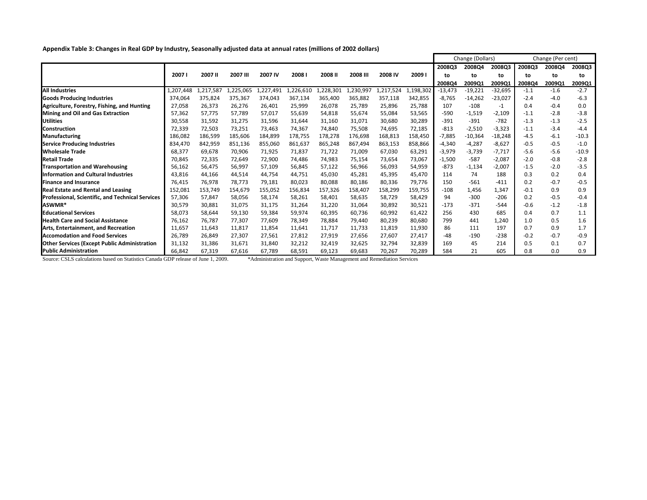**Appendix Table 3: Changes in Real GDP by Industry, Seasonally adjusted data at annual rates (millions of 2002 dollars)**

|                                                         |           |           |                 |           |                   |           | Change (Dollars) |          | Change (Per cent) |           |           |           |        |        |         |
|---------------------------------------------------------|-----------|-----------|-----------------|-----------|-------------------|-----------|------------------|----------|-------------------|-----------|-----------|-----------|--------|--------|---------|
|                                                         |           |           |                 |           |                   |           |                  |          |                   | 2008Q3    | 2008Q4    | 2008Q3    | 2008Q3 | 2008Q4 | 2008Q3  |
|                                                         | 20071     | 2007 II   | <b>2007 III</b> | 2007 IV   | 2008 <sub>I</sub> | 2008 II   | 2008 III         | 2008 IV  | 2009              | to.       | to        | to        | to     | to     | to      |
|                                                         |           |           |                 |           |                   |           |                  |          |                   | 200804    | 2009Q1    | 2009Q1    | 2008Q4 | 2009Q1 | 2009Q1  |
| <b>All Industries</b>                                   | .,207,448 | .,217,587 | 1,225,065       | 1,227,491 | 1,226,610         | 1,228,301 | 1,230,997        | .217,524 | .,198,302         | $-13,473$ | $-19,221$ | $-32,695$ | $-1.1$ | $-1.6$ | $-2.7$  |
| <b>Goods Producing Industries</b>                       | 374.064   | 375,824   | 375,367         | 374,043   | 367,134           | 365,400   | 365,882          | 357,118  | 342,855           | -8,765    | $-14,262$ | $-23,027$ | $-2.4$ | $-4.0$ | $-6.3$  |
| Agriculture, Forestry, Fishing, and Hunting             | 27,058    | 26,373    | 26,276          | 26,401    | 25,999            | 26,078    | 25,789           | 25,896   | 25,788            | 107       | $-108$    | $-1$      | 0.4    | $-0.4$ | 0.0     |
| <b>Mining and Oil and Gas Extraction</b>                | 57,362    | 57,775    | 57,789          | 57,017    | 55,639            | 54,818    | 55,674           | 55,084   | 53,565            | $-590$    | $-1,519$  | $-2,109$  | $-1.1$ | $-2.8$ | $-3.8$  |
| <b>Utilities</b>                                        | 30,558    | 31,592    | 31,275          | 31,596    | 31,644            | 31,160    | 31,071           | 30,680   | 30,289            | $-391$    | $-391$    | $-782$    | $-1.3$ | $-1.3$ | $-2.5$  |
| <b>I</b> Construction                                   | 72,339    | 72,503    | 73,251          | 73,463    | 74,367            | 74,840    | 75,508           | 74,695   | 72,185            | $-813$    | $-2,510$  | $-3,323$  | $-1.1$ | $-3.4$ | $-4.4$  |
| <b>Manufacturing</b>                                    | 186,082   | 186,599   | 185,606         | 184,899   | 178,755           | 178,278   | 176,698          | 168,813  | 158,450           | -7,885    | $-10,364$ | $-18,248$ | $-4.5$ | $-6.1$ | $-10.3$ |
| <b>Service Producing Industries</b>                     | 834,470   | 842,959   | 851,136         | 855,060   | 861,637           | 865,248   | 867,494          | 863,153  | 858,866           | $-4,340$  | $-4,287$  | $-8,627$  | $-0.5$ | $-0.5$ | $-1.0$  |
| <b>Wholesale Trade</b>                                  | 68,377    | 69,678    | 70,906          | 71,925    | 71,837            | 71,722    | 71,009           | 67,030   | 63,291            | $-3,979$  | $-3,739$  | $-7,717$  | $-5.6$ | $-5.6$ | $-10.9$ |
| <b>Retail Trade</b>                                     | 70,845    | 72,335    | 72,649          | 72,900    | 74,486            | 74,983    | 75,154           | 73,654   | 73,067            | $-1,500$  | $-587$    | $-2,087$  | $-2.0$ | $-0.8$ | $-2.8$  |
| <b>Transportation and Warehousing</b>                   | 56,162    | 56,475    | 56,997          | 57,109    | 56,845            | 57,122    | 56,966           | 56,093   | 54,959            | $-873$    | $-1,134$  | $-2,007$  | $-1.5$ | $-2.0$ | $-3.5$  |
| <b>Information and Cultural Industries</b>              | 43,816    | 44,166    | 44,514          | 44,754    | 44,751            | 45,030    | 45,281           | 45,395   | 45,470            | 114       | 74        | 188       | 0.3    | 0.2    | 0.4     |
| <b>Finance and Insurance</b>                            | 76,415    | 76,978    | 78,773          | 79,181    | 80,023            | 80,088    | 80,186           | 80,336   | 79,776            | 150       | $-561$    | $-411$    | 0.2    | $-0.7$ | $-0.5$  |
| <b>Real Estate and Rental and Leasing</b>               | 152,081   | 153,749   | 154,679         | 155,052   | 156,834           | 157,326   | 158,407          | 158,299  | 159,755           | $-108$    | 1,456     | 1,347     | $-0.1$ | 0.9    | 0.9     |
| <b>Professional, Scientific, and Technical Services</b> | 57,306    | 57,847    | 58,056          | 58,174    | 58,261            | 58,401    | 58,635           | 58,729   | 58,429            | 94        | $-300$    | $-206$    | 0.2    | $-0.5$ | $-0.4$  |
| ASWMR*                                                  | 30,579    | 30,881    | 31,075          | 31,175    | 31,264            | 31,220    | 31,064           | 30,892   | 30,521            | $-173$    | $-371$    | $-544$    | $-0.6$ | $-1.2$ | $-1.8$  |
| <b>Educational Services</b>                             | 58,073    | 58,644    | 59,130          | 59,384    | 59,974            | 60,395    | 60,736           | 60,992   | 61,422            | 256       | 430       | 685       | 0.4    | 0.7    | 1.1     |
| <b>Health Care and Social Assistance</b>                | 76,162    | 76,787    | 77,307          | 77,609    | 78,349            | 78,884    | 79,440           | 80,239   | 80,680            | 799       | 441       | 1,240     | 1.0    | 0.5    | 1.6     |
| Arts, Entertainment, and Recreation                     | 11,657    | 11,643    | 11,817          | 11,854    | 11,641            | 11,717    | 11,733           | 11,819   | 11,930            | 86        | 111       | 197       | 0.7    | 0.9    | 1.7     |
| <b>Accomodation and Food Services</b>                   | 26,789    | 26,849    | 27,307          | 27,561    | 27,812            | 27,919    | 27,656           | 27,607   | 27,417            | -48       | $-190$    | $-238$    | $-0.2$ | $-0.7$ | $-0.9$  |
| <b>Other Services (Except Public Administration</b>     | 31,132    | 31,386    | 31,671          | 31,840    | 32,212            | 32,419    | 32,625           | 32,794   | 32,839            | 169       | 45        | 214       | 0.5    | 0.1    | 0.7     |
| <b>Public Administration</b>                            | 66,842    | 67,319    | 67,616          | 67,789    | 68,591            | 69,123    | 69,683           | 70,267   | 70,289            | 584       | 21        | 605       | 0.8    | 0.0    | 0.9     |

Source: CSLS calculations based on Statistics Canada GDP release of June 1, 2009. \* Administration and Support, Waste Management and Remediation Services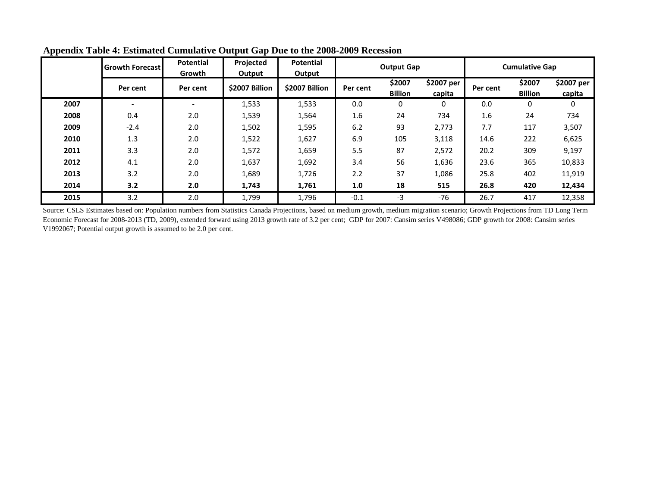|      | <b>Growth Forecast</b>   | <b>Potential</b><br>Growth | Projected<br>Output | <b>Potential</b><br><b>Output</b> | <b>Output Gap</b> |                          |                      | <b>Cumulative Gap</b> |                          |                      |
|------|--------------------------|----------------------------|---------------------|-----------------------------------|-------------------|--------------------------|----------------------|-----------------------|--------------------------|----------------------|
|      | Per cent                 | Per cent                   | \$2007 Billion      | \$2007 Billion                    | Per cent          | \$2007<br><b>Billion</b> | \$2007 per<br>capita | Per cent              | \$2007<br><b>Billion</b> | \$2007 per<br>capita |
| 2007 | $\overline{\phantom{0}}$ | $\overline{\phantom{a}}$   | 1,533               | 1,533                             | 0.0               | $\mathbf 0$              | 0                    | 0.0                   | 0                        | 0                    |
| 2008 | 0.4                      | 2.0                        | 1,539               | 1,564                             | 1.6               | 24                       | 734                  | 1.6                   | 24                       | 734                  |
| 2009 | $-2.4$                   | 2.0                        | 1,502               | 1,595                             | 6.2               | 93                       | 2,773                | 7.7                   | 117                      | 3,507                |
| 2010 | 1.3                      | 2.0                        | 1,522               | 1,627                             | 6.9               | 105                      | 3,118                | 14.6                  | 222                      | 6,625                |
| 2011 | 3.3                      | 2.0                        | 1,572               | 1,659                             | 5.5               | 87                       | 2,572                | 20.2                  | 309                      | 9,197                |
| 2012 | 4.1                      | 2.0                        | 1,637               | 1,692                             | 3.4               | 56                       | 1,636                | 23.6                  | 365                      | 10,833               |
| 2013 | 3.2                      | 2.0                        | 1,689               | 1,726                             | 2.2               | 37                       | 1,086                | 25.8                  | 402                      | 11,919               |
| 2014 | 3.2                      | 2.0                        | 1,743               | 1,761                             | 1.0               | 18                       | 515                  | 26.8                  | 420                      | 12,434               |
| 2015 | 3.2                      | 2.0                        | 1,799               | 1,796                             | $-0.1$            | -3                       | -76                  | 26.7                  | 417                      | 12,358               |

**Appendix Table 4: Estimated Cumulative Output Gap Due to the 2008-2009 Recession**

Source: CSLS Estimates based on: Population numbers from Statistics Canada Projections, based on medium growth, medium migration scenario; Growth Projections from TD Long Term Economic Forecast for 2008-2013 (TD, 2009), extended forward using 2013 growth rate of 3.2 per cent; GDP for 2007: Cansim series V498086; GDP growth for 2008: Cansim series V1992067; Potential output growth is assumed to be 2.0 per cent.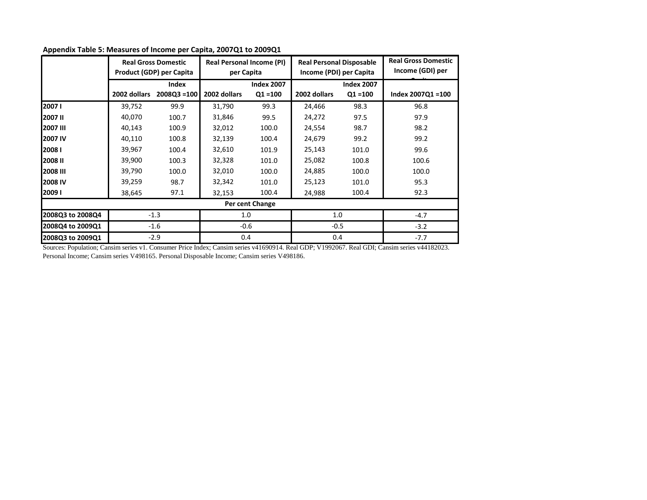|                  |              | <b>Real Gross Domestic</b><br>Product (GDP) per Capita | per Capita   | <b>Real Personal Income (PI)</b> | <b>Real Personal Disposable</b><br>Income (PDI) per Capita |                                 | <b>Real Gross Domestic</b><br>Income (GDI) per |  |
|------------------|--------------|--------------------------------------------------------|--------------|----------------------------------|------------------------------------------------------------|---------------------------------|------------------------------------------------|--|
|                  | 2002 dollars | Index<br>$2008Q3 = 100$                                | 2002 dollars | <b>Index 2007</b><br>$Q1 = 100$  | 2002 dollars                                               | <b>Index 2007</b><br>$Q1 = 100$ | Index 2007Q1 = 100                             |  |
| 20071            | 39,752       | 99.9                                                   | 31,790       | 99.3                             | 24,466                                                     | 98.3                            | 96.8                                           |  |
| <b>2007 II</b>   | 40,070       | 100.7                                                  | 31,846       | 99.5                             | 24,272                                                     | 97.5                            | 97.9                                           |  |
| 2007 III         | 40,143       | 100.9                                                  | 32,012       | 100.0                            | 24,554                                                     | 98.7                            | 98.2                                           |  |
| <b>2007 IV</b>   | 40,110       | 100.8                                                  | 32,139       | 100.4                            | 24,679                                                     | 99.2                            | 99.2                                           |  |
| 20081            | 39,967       | 100.4                                                  | 32,610       | 101.9                            | 25,143                                                     | 101.0                           | 99.6                                           |  |
| <b>2008 II</b>   | 39,900       | 100.3                                                  | 32,328       | 101.0                            | 25,082                                                     | 100.8                           | 100.6                                          |  |
| 2008 III         | 39,790       | 100.0                                                  | 32,010       | 100.0                            | 24,885                                                     | 100.0                           | 100.0                                          |  |
| 12008 IV         | 39,259       | 98.7                                                   | 32,342       | 101.0                            | 25,123                                                     | 101.0                           | 95.3                                           |  |
| 20091            | 38,645       | 97.1                                                   | 32,153       | 100.4                            | 24,988                                                     | 100.4                           | 92.3                                           |  |
|                  |              |                                                        |              | Per cent Change                  |                                                            |                                 |                                                |  |
| 2008Q3 to 2008Q4 |              | $-1.3$                                                 |              | 1.0                              | 1.0                                                        |                                 | $-4.7$                                         |  |
| 2008Q4 to 2009Q1 | $-1.6$       |                                                        | $-0.6$       |                                  | $-0.5$                                                     |                                 | $-3.2$                                         |  |
| 2008Q3 to 2009Q1 | $-2.9$       |                                                        | 0.4          |                                  | 0.4                                                        |                                 | $-7.7$                                         |  |

**Appendix Table 5: Measures of Income per Capita, 2007Q1 to 2009Q1**

Sources: Population; Cansim series v1. Consumer Price Index; Cansim series v41690914. Real GDP; V1992067. Real GDI; Cansim series v44182023. Personal Income; Cansim series V498165. Personal Disposable Income; Cansim series V498186.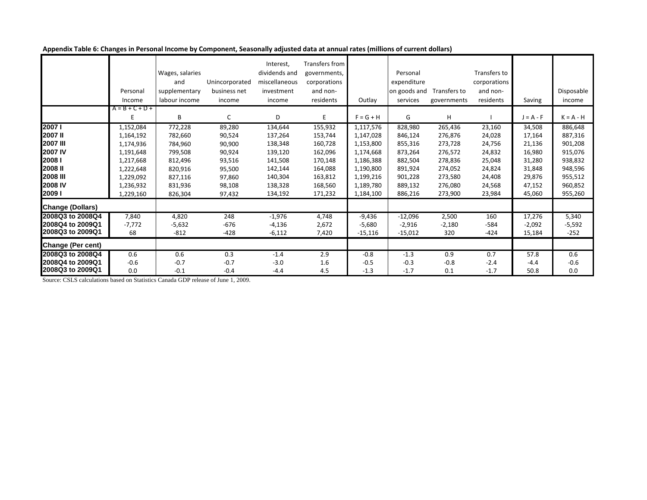| Appendix Table 6: Changes in Personal Income by Component, Seasonally adjusted data at annual rates (millions of current dollars) |  |  |
|-----------------------------------------------------------------------------------------------------------------------------------|--|--|
|-----------------------------------------------------------------------------------------------------------------------------------|--|--|

|                          | Personal          | Wages, salaries<br>and<br>supplementary | Unincorporated<br>business net | Interest,<br>dividends and<br>miscellaneous<br>investment | Transfers from<br>governments,<br>corporations<br>and non- |             | Personal<br>expenditure<br>on goods and | Transfers to | Transfers to<br>corporations<br>and non- |             | Disposable  |
|--------------------------|-------------------|-----------------------------------------|--------------------------------|-----------------------------------------------------------|------------------------------------------------------------|-------------|-----------------------------------------|--------------|------------------------------------------|-------------|-------------|
|                          | Income            | labour income                           | income                         | income                                                    | residents                                                  | Outlay      | services                                | governments  | residents                                | Saving      | income      |
|                          | $A = B + C + D +$ |                                         |                                |                                                           |                                                            |             |                                         |              |                                          |             |             |
|                          | E.                | B                                       | C                              | D                                                         | E.                                                         | $F = G + H$ | G                                       | н            |                                          | $J = A - F$ | $K = A - H$ |
| 2007 l                   | 1,152,084         | 772,228                                 | 89,280                         | 134,644                                                   | 155,932                                                    | 1,117,576   | 828,980                                 | 265,436      | 23,160                                   | 34,508      | 886,648     |
| 2007II                   | 1,164,192         | 782,660                                 | 90,524                         | 137,264                                                   | 153,744                                                    | 1,147,028   | 846,124                                 | 276,876      | 24,028                                   | 17,164      | 887,316     |
| <b>2007 III</b>          | 1,174,936         | 784,960                                 | 90,900                         | 138,348                                                   | 160,728                                                    | 1,153,800   | 855,316                                 | 273,728      | 24,756                                   | 21,136      | 901,208     |
| <b>2007 IV</b>           | 1,191,648         | 799,508                                 | 90,924                         | 139,120                                                   | 162,096                                                    | 1,174,668   | 873,264                                 | 276,572      | 24,832                                   | 16,980      | 915,076     |
| 2008 <sub>1</sub>        | 1,217,668         | 812,496                                 | 93,516                         | 141,508                                                   | 170,148                                                    | 1,186,388   | 882,504                                 | 278,836      | 25,048                                   | 31,280      | 938,832     |
| 2008 II                  | 1,222,648         | 820,916                                 | 95,500                         | 142,144                                                   | 164,088                                                    | 1,190,800   | 891,924                                 | 274,052      | 24,824                                   | 31,848      | 948,596     |
| <b>2008 III</b>          | 1,229,092         | 827,116                                 | 97,860                         | 140,304                                                   | 163,812                                                    | 1,199,216   | 901,228                                 | 273,580      | 24,408                                   | 29,876      | 955,512     |
| 2008 IV                  | 1,236,932         | 831,936                                 | 98,108                         | 138,328                                                   | 168,560                                                    | 1,189,780   | 889,132                                 | 276,080      | 24,568                                   | 47,152      | 960,852     |
| 20091                    | 1,229,160         | 826,304                                 | 97,432                         | 134,192                                                   | 171,232                                                    | 1,184,100   | 886,216                                 | 273,900      | 23,984                                   | 45,060      | 955,260     |
| <b>Change (Dollars)</b>  |                   |                                         |                                |                                                           |                                                            |             |                                         |              |                                          |             |             |
| 2008Q3 to 2008Q4         | 7,840             | 4,820                                   | 248                            | $-1,976$                                                  | 4,748                                                      | $-9,436$    | $-12,096$                               | 2,500        | 160                                      | 17,276      | 5,340       |
| 2008Q4 to 2009Q1         | $-7,772$          | $-5,632$                                | $-676$                         | $-4,136$                                                  | 2,672                                                      | $-5,680$    | $-2,916$                                | $-2,180$     | $-584$                                   | $-2,092$    | $-5,592$    |
| 2008Q3 to 2009Q1         | 68                | $-812$                                  | $-428$                         | $-6,112$                                                  | 7,420                                                      | $-15,116$   | $-15,012$                               | 320          | $-424$                                   | 15,184      | $-252$      |
| <b>Change (Per cent)</b> |                   |                                         |                                |                                                           |                                                            |             |                                         |              |                                          |             |             |
| 2008Q3 to 2008Q4         | 0.6               | 0.6                                     | 0.3                            | $-1.4$                                                    | 2.9                                                        | $-0.8$      | $-1.3$                                  | 0.9          | 0.7                                      | 57.8        | 0.6         |
| 2008Q4 to 2009Q1         | $-0.6$            | $-0.7$                                  | $-0.7$                         | $-3.0$                                                    | 1.6                                                        | $-0.5$      | $-0.3$                                  | $-0.8$       | $-2.4$                                   | $-4.4$      | $-0.6$      |
| 2008Q3 to 2009Q1         | 0.0               | $-0.1$                                  | $-0.4$                         | $-4.4$                                                    | 4.5                                                        | $-1.3$      | $-1.7$                                  | 0.1          | $-1.7$                                   | 50.8        | 0.0         |

Source: CSLS calculations based on Statistics Canada GDP release of June 1, 2009.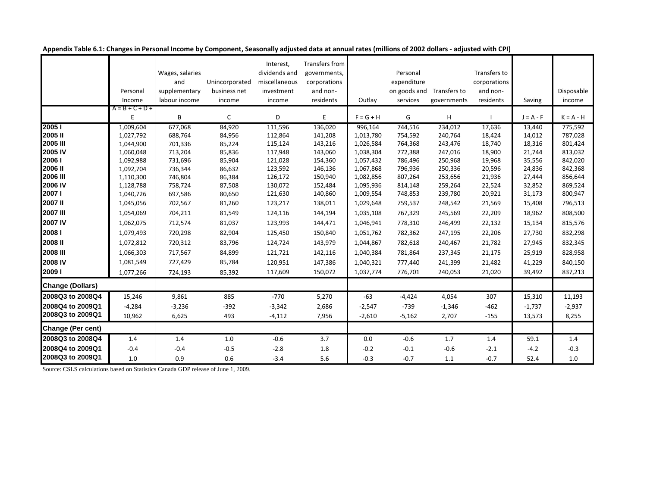|                          |                   |                 |                | Interest,     | Transfers from |             |              |                           |              |             |             |
|--------------------------|-------------------|-----------------|----------------|---------------|----------------|-------------|--------------|---------------------------|--------------|-------------|-------------|
|                          |                   | Wages, salaries |                | dividends and | governments,   |             | Personal     |                           | Transfers to |             |             |
|                          |                   | and             | Unincorporated | miscellaneous | corporations   |             | expenditure  |                           | corporations |             |             |
|                          | Personal          | supplementary   | business net   | investment    | and non-       |             | on goods and | Transfers to              | and non-     |             | Disposable  |
|                          | Income            | labour income   | income         | income        | residents      | Outlay      | services     | governments               | residents    | Saving      | income      |
|                          | $A = B + C + D +$ |                 |                |               |                |             |              |                           |              |             |             |
|                          | Ε                 | B               | $\mathsf C$    | D             | E              | $F = G + H$ | G            | $\boldsymbol{\mathsf{H}}$ |              | $J = A - F$ | $K = A - H$ |
| 20051                    | 1,009,604         | 677,068         | 84,920         | 111,596       | 136,020        | 996,164     | 744,516      | 234,012                   | 17,636       | 13,440      | 775,592     |
| 2005II                   | 1,027,792         | 688,764         | 84,956         | 112,864       | 141,208        | 1,013,780   | 754,592      | 240,764                   | 18,424       | 14,012      | 787,028     |
| <b>2005 III</b>          | 1,044,900         | 701,336         | 85,224         | 115,124       | 143,216        | 1,026,584   | 764,368      | 243,476                   | 18,740       | 18,316      | 801,424     |
| 2005 IV                  | 1,060,048         | 713,204         | 85,836         | 117,948       | 143,060        | 1,038,304   | 772,388      | 247,016                   | 18,900       | 21,744      | 813,032     |
| 20061                    | 1,092,988         | 731,696         | 85,904         | 121,028       | 154,360        | 1,057,432   | 786,496      | 250,968                   | 19,968       | 35,556      | 842,020     |
| 2006 II                  | 1,092,704         | 736,344         | 86,632         | 123,592       | 146,136        | 1,067,868   | 796,936      | 250,336                   | 20,596       | 24,836      | 842,368     |
| <b>2006 III</b>          | 1,110,300         | 746,804         | 86,384         | 126,172       | 150,940        | 1,082,856   | 807,264      | 253,656                   | 21,936       | 27,444      | 856,644     |
| 2006 IV                  | 1,128,788         | 758,724         | 87,508         | 130,072       | 152,484        | 1,095,936   | 814,148      | 259,264                   | 22,524       | 32,852      | 869,524     |
| 2007 l                   | 1,040,726         | 697,586         | 80,650         | 121,630       | 140,860        | 1,009,554   | 748,853      | 239,780                   | 20,921       | 31,173      | 800,947     |
| 2007 II                  | 1,045,056         | 702,567         | 81,260         | 123,217       | 138,011        | 1,029,648   | 759,537      | 248,542                   | 21,569       | 15,408      | 796,513     |
| <b>2007 III</b>          | 1,054,069         | 704,211         | 81,549         | 124,116       | 144,194        | 1,035,108   | 767,329      | 245,569                   | 22,209       | 18,962      | 808,500     |
| <b>2007 IV</b>           | 1,062,075         | 712,574         | 81,037         | 123,993       | 144,471        | 1,046,941   | 778,310      | 246,499                   | 22,132       | 15,134      | 815,576     |
| 2008 <sub>I</sub>        | 1,079,493         | 720,298         | 82,904         | 125,450       | 150,840        | 1,051,762   | 782,362      | 247,195                   | 22,206       | 27,730      | 832,298     |
| <b>2008II</b>            | 1,072,812         | 720,312         | 83,796         | 124,724       | 143,979        | 1,044,867   | 782,618      | 240,467                   | 21,782       | 27,945      | 832,345     |
| <b>2008 III</b>          | 1,066,303         | 717,567         | 84,899         | 121,721       | 142,116        | 1,040,384   | 781,864      | 237,345                   | 21,175       | 25,919      | 828,958     |
| 2008 IV                  | 1,081,549         | 727,429         | 85,784         | 120,951       | 147,386        | 1,040,321   | 777,440      | 241,399                   | 21,482       | 41,229      | 840,150     |
| 20091                    | 1,077,266         | 724,193         | 85,392         | 117,609       | 150,072        | 1,037,774   | 776,701      | 240,053                   | 21,020       | 39,492      | 837,213     |
| <b>Change (Dollars)</b>  |                   |                 |                |               |                |             |              |                           |              |             |             |
| 2008Q3 to 2008Q4         | 15,246            | 9,861           | 885            | $-770$        | 5,270          | $-63$       | $-4,424$     | 4,054                     | 307          | 15,310      | 11,193      |
| 2008Q4 to 2009Q1         | $-4,284$          | $-3,236$        | $-392$         | $-3,342$      | 2,686          | $-2,547$    | $-739$       | $-1,346$                  | $-462$       | $-1,737$    | $-2,937$    |
| 2008Q3 to 2009Q1         | 10,962            | 6,625           | 493            | $-4,112$      | 7,956          | $-2,610$    | $-5,162$     | 2,707                     | $-155$       | 13,573      | 8,255       |
| <b>Change (Per cent)</b> |                   |                 |                |               |                |             |              |                           |              |             |             |
| 2008Q3 to 2008Q4         | 1.4               | 1.4             | $1.0\,$        | $-0.6$        | 3.7            | 0.0         | $-0.6$       | 1.7                       | 1.4          | 59.1        | 1.4         |
| 2008Q4 to 2009Q1         | $-0.4$            | $-0.4$          | $-0.5$         | $-2.8$        | 1.8            | $-0.2$      | $-0.1$       | $-0.6$                    | $-2.1$       | $-4.2$      | $-0.3$      |
| 2008Q3 to 2009Q1         | 1.0               | 0.9             | 0.6            | $-3.4$        | 5.6            | $-0.3$      | $-0.7$       | 1.1                       | $-0.7$       | 52.4        | 1.0         |

**Appendix Table 6.1: Changes in Personal Income by Component, Seasonally adjusted data at annual rates (millions of 2002 dollars - adjusted with CPI)** 

Source: CSLS calculations based on Statistics Canada GDP release of June 1, 2009.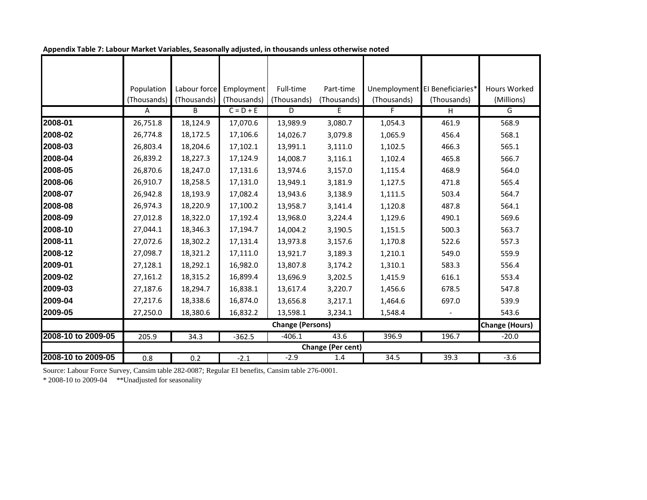|                    | Population  | Labour force | Employment  | Full-time               | Part-time         |             | Unemployment El Beneficiaries* | <b>Hours Worked</b>   |
|--------------------|-------------|--------------|-------------|-------------------------|-------------------|-------------|--------------------------------|-----------------------|
|                    | (Thousands) | (Thousands)  | (Thousands) | (Thousands)             | (Thousands)       | (Thousands) | (Thousands)                    | (Millions)            |
|                    | A           | B            | $C = D + E$ | D                       | E.                | F.          | H                              | G                     |
| 2008-01            | 26,751.8    | 18,124.9     | 17,070.6    | 13,989.9                | 3,080.7           | 1,054.3     | 461.9                          | 568.9                 |
| 2008-02            | 26,774.8    | 18,172.5     | 17,106.6    | 14,026.7                | 3,079.8           | 1,065.9     | 456.4                          | 568.1                 |
| 2008-03            | 26,803.4    | 18,204.6     | 17,102.1    | 13,991.1                | 3,111.0           | 1,102.5     | 466.3                          | 565.1                 |
| 2008-04            | 26,839.2    | 18,227.3     | 17,124.9    | 14,008.7                | 3,116.1           | 1,102.4     | 465.8                          | 566.7                 |
| 2008-05            | 26,870.6    | 18,247.0     | 17,131.6    | 13,974.6                | 3,157.0           | 1,115.4     | 468.9                          | 564.0                 |
| 2008-06            | 26,910.7    | 18,258.5     | 17,131.0    | 13,949.1                | 3,181.9           | 1,127.5     | 471.8                          | 565.4                 |
| 2008-07            | 26,942.8    | 18,193.9     | 17,082.4    | 13,943.6                | 3,138.9           | 1,111.5     | 503.4                          | 564.7                 |
| 2008-08            | 26,974.3    | 18,220.9     | 17,100.2    | 13,958.7                | 3,141.4           | 1,120.8     | 487.8                          | 564.1                 |
| 2008-09            | 27,012.8    | 18,322.0     | 17,192.4    | 13,968.0                | 3,224.4           | 1,129.6     | 490.1                          | 569.6                 |
| 2008-10            | 27,044.1    | 18,346.3     | 17,194.7    | 14,004.2                | 3,190.5           | 1,151.5     | 500.3                          | 563.7                 |
| 2008-11            | 27,072.6    | 18,302.2     | 17,131.4    | 13,973.8                | 3,157.6           | 1,170.8     | 522.6                          | 557.3                 |
| 2008-12            | 27,098.7    | 18,321.2     | 17,111.0    | 13,921.7                | 3,189.3           | 1,210.1     | 549.0                          | 559.9                 |
| 2009-01            | 27,128.1    | 18,292.1     | 16,982.0    | 13,807.8                | 3,174.2           | 1,310.1     | 583.3                          | 556.4                 |
| 2009-02            | 27,161.2    | 18,315.2     | 16,899.4    | 13,696.9                | 3,202.5           | 1,415.9     | 616.1                          | 553.4                 |
| 2009-03            | 27,187.6    | 18,294.7     | 16,838.1    | 13,617.4                | 3,220.7           | 1,456.6     | 678.5                          | 547.8                 |
| 2009-04            | 27,217.6    | 18,338.6     | 16,874.0    | 13,656.8                | 3,217.1           | 1,464.6     | 697.0                          | 539.9                 |
| 2009-05            | 27,250.0    | 18,380.6     | 16,832.2    | 13,598.1                | 3,234.1           | 1,548.4     |                                | 543.6                 |
|                    |             |              |             | <b>Change (Persons)</b> |                   |             |                                | <b>Change (Hours)</b> |
| 2008-10 to 2009-05 | 205.9       | 34.3         | $-362.5$    | $-406.1$                | $43.\overline{6}$ | 396.9       | 196.7                          | $-20.0$               |
|                    |             |              |             |                         | Change (Per cent) |             |                                |                       |
| 2008-10 to 2009-05 | 0.8         | 0.2          | $-2.1$      | $-2.9$                  | 1.4               | 34.5        | 39.3                           | $-3.6$                |

**Appendix Table 7: Labour Market Variables, Seasonally adjusted, in thousands unless otherwise noted** 

Source: Labour Force Survey, Cansim table 282-0087; Regular EI benefits, Cansim table 276-0001.

\* 2008-10 to 2009-04 \*\*Unadjusted for seasonality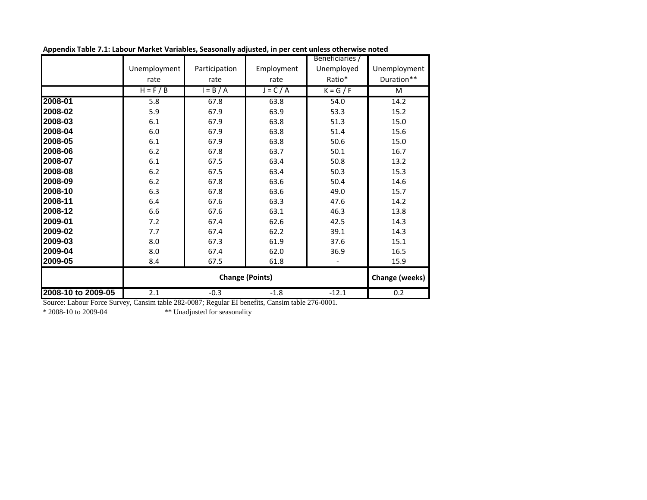|                    |              |               |                        | Beneficiaries / |                       |
|--------------------|--------------|---------------|------------------------|-----------------|-----------------------|
|                    | Unemployment | Participation | Employment             | Unemployed      | Unemployment          |
|                    | rate         | rate          | rate                   | Ratio*          | Duration**            |
|                    | $H = F / B$  | $= B/A$       | $J = C / A$            | $K = G / F$     | M                     |
| 2008-01            | 5.8          | 67.8          | 63.8                   | 54.0            | 14.2                  |
| 2008-02            | 5.9          | 67.9          | 63.9                   | 53.3            | 15.2                  |
| 2008-03            | 6.1          | 67.9          | 63.8                   | 51.3            | 15.0                  |
| 2008-04            | 6.0          | 67.9          | 63.8                   | 51.4            | 15.6                  |
| 2008-05            | 6.1          | 67.9          | 63.8                   | 50.6            | 15.0                  |
| 2008-06            | 6.2          | 67.8          | 63.7                   | 50.1            | 16.7                  |
| 2008-07            | 6.1          | 67.5          | 63.4                   | 50.8            | 13.2                  |
| 2008-08            | 6.2          | 67.5          | 63.4                   | 50.3            | 15.3                  |
| 2008-09            | 6.2          | 67.8          | 63.6                   | 50.4            | 14.6                  |
| 2008-10            | 6.3          | 67.8          | 63.6                   | 49.0            | 15.7                  |
| 2008-11            | 6.4          | 67.6          | 63.3                   | 47.6            | 14.2                  |
| 2008-12            | 6.6          | 67.6          | 63.1                   | 46.3            | 13.8                  |
| 2009-01            | 7.2          | 67.4          | 62.6                   | 42.5            | 14.3                  |
| 2009-02            | 7.7          | 67.4          | 62.2                   | 39.1            | 14.3                  |
| 2009-03            | 8.0          | 67.3          | 61.9                   | 37.6            | 15.1                  |
| 2009-04            | 8.0          | 67.4          | 62.0                   | 36.9            | 16.5                  |
| 2009-05            | 8.4          | 67.5          | 61.8                   |                 | 15.9                  |
|                    |              |               | <b>Change (Points)</b> |                 | <b>Change (weeks)</b> |
| 2008-10 to 2009-05 | 2.1          | $-0.3$        | $-1.8$                 | $-12.1$         | 0.2                   |

**Appendix Table 7.1: Labour Market Variables, Seasonally adjusted, in per cent unless otherwise noted**

Source: Labour Force Survey, Cansim table 282-0087; Regular EI benefits, Cansim table 276-0001.

\*\* Unadjusted for seasonality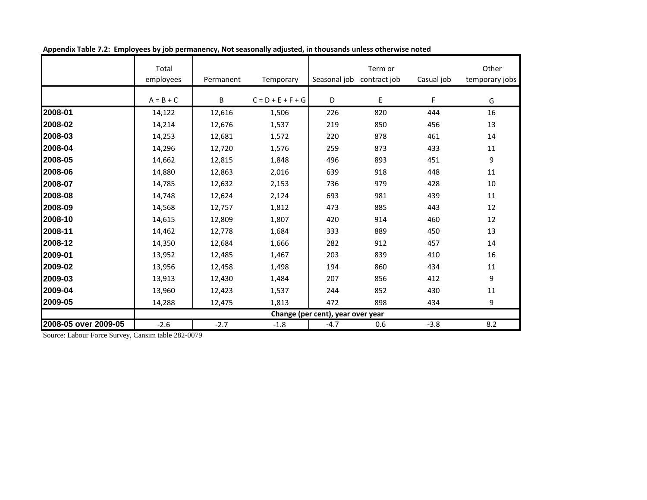|                      | Total<br>employees | Permanent | Temporary           | Seasonal job                      | Term or<br>contract job | Casual job | Other<br>temporary jobs |
|----------------------|--------------------|-----------|---------------------|-----------------------------------|-------------------------|------------|-------------------------|
|                      | $A = B + C$        | В         | $C = D + E + F + G$ | D                                 | E                       | F          | G                       |
| 2008-01              | 14,122             | 12,616    | 1,506               | 226                               | 820                     | 444        | 16                      |
| 2008-02              | 14,214             | 12,676    | 1,537               | 219                               | 850                     | 456        | 13                      |
| 2008-03              | 14,253             | 12,681    | 1,572               | 220                               | 878                     | 461        | 14                      |
| 2008-04              | 14,296             | 12,720    | 1,576               | 259                               | 873                     | 433        | 11                      |
| 2008-05              | 14,662             | 12,815    | 1,848               | 496                               | 893                     | 451        | 9                       |
| 2008-06              | 14,880             | 12,863    | 2,016               | 639                               | 918                     | 448        | 11                      |
| 2008-07              | 14,785             | 12,632    | 2,153               | 736                               | 979                     | 428        | 10                      |
| 2008-08              | 14,748             | 12,624    | 2,124               | 693                               | 981                     | 439        | 11                      |
| 2008-09              | 14,568             | 12,757    | 1,812               | 473                               | 885                     | 443        | 12                      |
| 2008-10              | 14,615             | 12,809    | 1,807               | 420                               | 914                     | 460        | 12                      |
| 2008-11              | 14,462             | 12,778    | 1,684               | 333                               | 889                     | 450        | 13                      |
| 2008-12              | 14,350             | 12,684    | 1,666               | 282                               | 912                     | 457        | 14                      |
| 2009-01              | 13,952             | 12,485    | 1,467               | 203                               | 839                     | 410        | 16                      |
| 2009-02              | 13,956             | 12,458    | 1,498               | 194                               | 860                     | 434        | 11                      |
| 2009-03              | 13,913             | 12,430    | 1,484               | 207                               | 856                     | 412        | 9                       |
| 2009-04              | 13,960             | 12,423    | 1,537               | 244                               | 852                     | 430        | 11                      |
| 2009-05              | 14,288             | 12,475    | 1,813               | 472                               | 898                     | 434        | 9                       |
|                      |                    |           |                     | Change (per cent), year over year |                         |            |                         |
| 2008-05 over 2009-05 | $-2.6$             | $-2.7$    | $-1.8$              | $-4.7$                            | 0.6                     | $-3.8$     | 8.2                     |

**Appendix Table 7.2: Employees by job permanency, Not seasonally adjusted, in thousands unless otherwise noted**

Source: Labour Force Survey, Cansim table 282-0079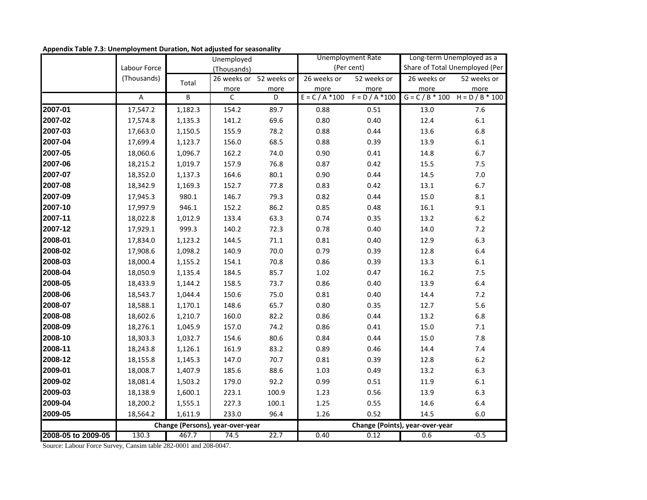|                    |                |                | Unemployed                       |                         |                   | <b>Unemployment Rate</b> | Long-term Unemployed as a       |                                   |  |
|--------------------|----------------|----------------|----------------------------------|-------------------------|-------------------|--------------------------|---------------------------------|-----------------------------------|--|
|                    | Labour Force   |                | (Thousands)                      |                         |                   | (Per cent)               |                                 | Share of Total Unemployed (Per    |  |
|                    | (Thousands)    | Total          |                                  | 26 weeks or 52 weeks or | 26 weeks or       | 52 weeks or              | 26 weeks or                     | 52 weeks or                       |  |
|                    |                |                | more                             | more                    | more              | more                     | more                            | more                              |  |
|                    | $\overline{A}$ | $\overline{B}$ | $\mathsf{C}$                     | D                       | $E = C / A * 100$ | $F = D / A * 100$        |                                 | $G = C / B * 100$ H = D / B * 100 |  |
| 2007-01            | 17,547.2       | 1,182.3        | 154.2                            | 89.7                    | 0.88              | 0.51                     | 13.0                            | 7.6                               |  |
| 2007-02            | 17,574.8       | 1,135.3        | 141.2                            | 69.6                    | 0.80              | $0.40\,$                 | 12.4                            | $6.1\,$                           |  |
| 2007-03            | 17,663.0       | 1,150.5        | 155.9                            | 78.2                    | 0.88              | 0.44                     | 13.6                            | 6.8                               |  |
| 2007-04            | 17,699.4       | 1,123.7        | 156.0                            | 68.5                    | 0.88              | 0.39                     | 13.9                            | $6.1\,$                           |  |
| 2007-05            | 18,060.6       | 1,096.7        | 162.2                            | 74.0                    | 0.90              | $0.41\,$                 | 14.8                            | $6.7\,$                           |  |
| 2007-06            | 18,215.2       | 1,019.7        | 157.9                            | 76.8                    | 0.87              | 0.42                     | 15.5                            | 7.5                               |  |
| 2007-07            | 18,352.0       | 1,137.3        | 164.6                            | 80.1                    | 0.90              | 0.44                     | 14.5                            | $7.0\,$                           |  |
| 2007-08            | 18,342.9       | 1,169.3        | 152.7                            | 77.8                    | 0.83              | 0.42                     | 13.1                            | $6.7\,$                           |  |
| 2007-09            | 17,945.3       | 980.1          | 146.7                            | 79.3                    | 0.82              | 0.44                     | 15.0                            | 8.1                               |  |
| 2007-10            | 17,997.9       | 946.1          | 152.2                            | 86.2                    | 0.85              | 0.48                     | 16.1                            | 9.1                               |  |
| 2007-11            | 18,022.8       | 1,012.9        | 133.4                            | 63.3                    | 0.74              | 0.35                     | 13.2                            | $6.2\,$                           |  |
| 2007-12            | 17,929.1       | 999.3          | 140.2                            | 72.3                    | 0.78              | $0.40\,$                 | 14.0                            | $7.2$                             |  |
| 2008-01            | 17,834.0       | 1,123.2        | 144.5                            | 71.1                    | 0.81              | $0.40\,$                 | 12.9                            | 6.3                               |  |
| 2008-02            | 17,908.6       | 1,098.2        | 140.9                            | 70.0                    | 0.79              | 0.39                     | 12.8                            | 6.4                               |  |
| 2008-03            | 18,000.4       | 1,155.2        | 154.1                            | 70.8                    | 0.86              | 0.39                     | 13.3                            | $6.1\,$                           |  |
| 2008-04            | 18,050.9       | 1,135.4        | 184.5                            | 85.7                    | $1.02\,$          | 0.47                     | 16.2                            | 7.5                               |  |
| 2008-05            | 18,433.9       | 1,144.2        | 158.5                            | 73.7                    | 0.86              | $0.40\,$                 | 13.9                            | 6.4                               |  |
| 2008-06            | 18,543.7       | 1,044.4        | 150.6                            | 75.0                    | 0.81              | 0.40                     | 14.4                            | $7.2$                             |  |
| 2008-07            | 18,588.1       | 1,170.1        | 148.6                            | 65.7                    | 0.80              | 0.35                     | 12.7                            | 5.6                               |  |
| 2008-08            | 18,602.6       | 1,210.7        | 160.0                            | 82.2                    | 0.86              | 0.44                     | 13.2                            | 6.8                               |  |
| 2008-09            | 18,276.1       | 1,045.9        | 157.0                            | 74.2                    | 0.86              | $0.41\,$                 | 15.0                            | $7.1\,$                           |  |
| 2008-10            | 18,303.3       | 1,032.7        | 154.6                            | 80.6                    | 0.84              | 0.44                     | 15.0                            | 7.8                               |  |
| 2008-11            | 18,243.8       | 1,126.1        | 161.9                            | 83.2                    | 0.89              | 0.46                     | 14.4                            | 7.4                               |  |
| 2008-12            | 18,155.8       | 1,145.3        | 147.0                            | 70.7                    | 0.81              | 0.39                     | 12.8                            | $6.2\,$                           |  |
| 2009-01            | 18,008.7       | 1,407.9        | 185.6                            | 88.6                    | 1.03              | 0.49                     | 13.2                            | 6.3                               |  |
| 2009-02            | 18,081.4       | 1,503.2        | 179.0                            | 92.2                    | 0.99              | $0.51\,$                 | 11.9                            | $6.1\,$                           |  |
| 2009-03            | 18,138.9       | 1,600.1        | 223.1                            | 100.9                   | 1.23              | 0.56                     | 13.9                            | 6.3                               |  |
| 2009-04            | 18,200.2       | 1,555.1        | 227.3                            | 100.1                   | 1.25              | 0.55                     | 14.6                            | 6.4                               |  |
| 2009-05            | 18,564.2       | 1,611.9        | 233.0                            | 96.4                    | 1.26              | 0.52                     | 14.5                            | 6.0                               |  |
|                    |                |                | Change (Persons), year-over-year |                         |                   |                          | Change (Points), year-over-year |                                   |  |
| 2008-05 to 2009-05 | 130.3          | 467.7          | 74.5                             | 22.7                    | 0.40              | 0.12                     | 0.6                             | $-0.5$                            |  |

**Appendix Table 7.3: Unemployment Duration, Not adjusted for seasonality**

Source: Labour Force Survey, Cansim table 282-0001 and 208-0047.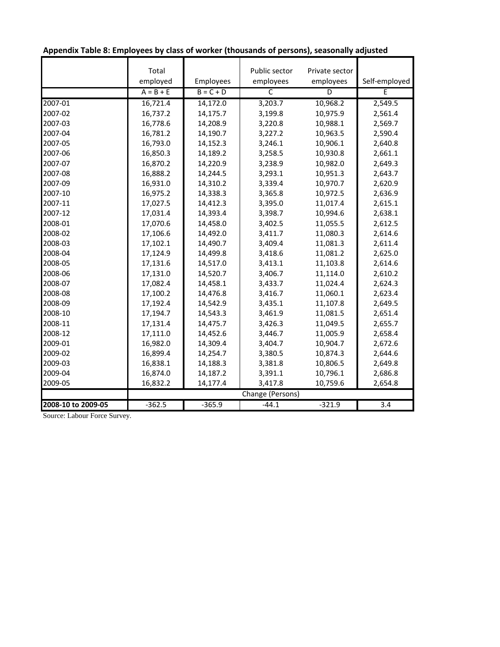|                    | Total       |             | Public sector    | Private sector |               |
|--------------------|-------------|-------------|------------------|----------------|---------------|
|                    | employed    | Employees   | employees        | employees      | Self-employed |
|                    | $A = B + E$ | $B = C + D$ | C                | D              | E             |
| 2007-01            | 16,721.4    | 14,172.0    | 3,203.7          | 10,968.2       | 2,549.5       |
| 2007-02            | 16,737.2    | 14,175.7    | 3,199.8          | 10,975.9       | 2,561.4       |
| 2007-03            | 16,778.6    | 14,208.9    | 3,220.8          | 10,988.1       | 2,569.7       |
| 2007-04            | 16,781.2    | 14,190.7    | 3,227.2          | 10,963.5       | 2,590.4       |
| 2007-05            | 16,793.0    | 14,152.3    | 3,246.1          | 10,906.1       | 2,640.8       |
| 2007-06            | 16,850.3    | 14,189.2    | 3,258.5          | 10,930.8       | 2,661.1       |
| 2007-07            | 16,870.2    | 14,220.9    | 3,238.9          | 10,982.0       | 2,649.3       |
| 2007-08            | 16,888.2    | 14,244.5    | 3,293.1          | 10,951.3       | 2,643.7       |
| 2007-09            | 16,931.0    | 14,310.2    | 3,339.4          | 10,970.7       | 2,620.9       |
| 2007-10            | 16,975.2    | 14,338.3    | 3,365.8          | 10,972.5       | 2,636.9       |
| 2007-11            | 17,027.5    | 14,412.3    | 3,395.0          | 11,017.4       | 2,615.1       |
| 2007-12            | 17,031.4    | 14,393.4    | 3,398.7          | 10,994.6       | 2,638.1       |
| 2008-01            | 17,070.6    | 14,458.0    | 3,402.5          | 11,055.5       | 2,612.5       |
| 2008-02            | 17,106.6    | 14,492.0    | 3,411.7          | 11,080.3       | 2,614.6       |
| 2008-03            | 17,102.1    | 14,490.7    | 3,409.4          | 11,081.3       | 2,611.4       |
| 2008-04            | 17,124.9    | 14,499.8    | 3,418.6          | 11,081.2       | 2,625.0       |
| 2008-05            | 17,131.6    | 14,517.0    | 3,413.1          | 11,103.8       | 2,614.6       |
| 2008-06            | 17,131.0    | 14,520.7    | 3,406.7          | 11,114.0       | 2,610.2       |
| 2008-07            | 17,082.4    | 14,458.1    | 3,433.7          | 11,024.4       | 2,624.3       |
| 2008-08            | 17,100.2    | 14,476.8    | 3,416.7          | 11,060.1       | 2,623.4       |
| 2008-09            | 17,192.4    | 14,542.9    | 3,435.1          | 11,107.8       | 2,649.5       |
| 2008-10            | 17,194.7    | 14,543.3    | 3,461.9          | 11,081.5       | 2,651.4       |
| 2008-11            | 17,131.4    | 14,475.7    | 3,426.3          | 11,049.5       | 2,655.7       |
| 2008-12            | 17,111.0    | 14,452.6    | 3,446.7          | 11,005.9       | 2,658.4       |
| 2009-01            | 16,982.0    | 14,309.4    | 3,404.7          | 10,904.7       | 2,672.6       |
| 2009-02            | 16,899.4    | 14,254.7    | 3,380.5          | 10,874.3       | 2,644.6       |
| 2009-03            | 16,838.1    | 14,188.3    | 3,381.8          | 10,806.5       | 2,649.8       |
| 2009-04            | 16,874.0    | 14,187.2    | 3,391.1          | 10,796.1       | 2,686.8       |
| 2009-05            | 16,832.2    | 14,177.4    | 3,417.8          | 10,759.6       | 2,654.8       |
|                    |             |             | Change (Persons) |                |               |
| 2008-10 to 2009-05 | $-362.5$    | $-365.9$    | $-44.1$          | $-321.9$       | 3.4           |

# **Appendix Table 8: Employees by class of worker (thousands of persons), seasonally adjusted**

Source: Labour Force Survey.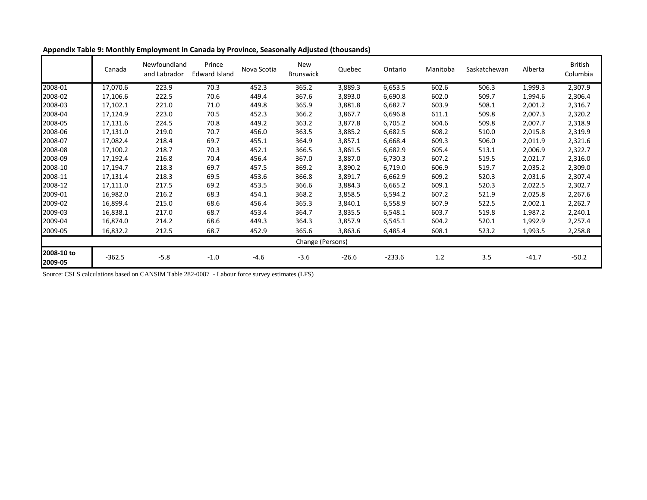|                       | Canada   | Newfoundland<br>and Labrador | Prince<br><b>Edward Island</b> | Nova Scotia | New<br><b>Brunswick</b> | Quebec  | Ontario  | Manitoba | Saskatchewan | Alberta | <b>British</b><br>Columbia |
|-----------------------|----------|------------------------------|--------------------------------|-------------|-------------------------|---------|----------|----------|--------------|---------|----------------------------|
| 2008-01               | 17,070.6 | 223.9                        | 70.3                           | 452.3       | 365.2                   | 3,889.3 | 6,653.5  | 602.6    | 506.3        | 1,999.3 | 2,307.9                    |
| 2008-02               | 17,106.6 | 222.5                        | 70.6                           | 449.4       | 367.6                   | 3,893.0 | 6,690.8  | 602.0    | 509.7        | 1,994.6 | 2,306.4                    |
| 2008-03               | 17,102.1 | 221.0                        | 71.0                           | 449.8       | 365.9                   | 3,881.8 | 6,682.7  | 603.9    | 508.1        | 2,001.2 | 2,316.7                    |
| 2008-04               | 17,124.9 | 223.0                        | 70.5                           | 452.3       | 366.2                   | 3,867.7 | 6,696.8  | 611.1    | 509.8        | 2,007.3 | 2,320.2                    |
| 2008-05               | 17,131.6 | 224.5                        | 70.8                           | 449.2       | 363.2                   | 3,877.8 | 6,705.2  | 604.6    | 509.8        | 2,007.7 | 2,318.9                    |
| 2008-06               | 17,131.0 | 219.0                        | 70.7                           | 456.0       | 363.5                   | 3,885.2 | 6,682.5  | 608.2    | 510.0        | 2,015.8 | 2,319.9                    |
| 2008-07               | 17,082.4 | 218.4                        | 69.7                           | 455.1       | 364.9                   | 3,857.1 | 6,668.4  | 609.3    | 506.0        | 2,011.9 | 2,321.6                    |
| 2008-08               | 17,100.2 | 218.7                        | 70.3                           | 452.1       | 366.5                   | 3,861.5 | 6,682.9  | 605.4    | 513.1        | 2,006.9 | 2,322.7                    |
| 2008-09               | 17,192.4 | 216.8                        | 70.4                           | 456.4       | 367.0                   | 3,887.0 | 6,730.3  | 607.2    | 519.5        | 2,021.7 | 2,316.0                    |
| 2008-10               | 17,194.7 | 218.3                        | 69.7                           | 457.5       | 369.2                   | 3,890.2 | 6,719.0  | 606.9    | 519.7        | 2,035.2 | 2,309.0                    |
| 2008-11               | 17,131.4 | 218.3                        | 69.5                           | 453.6       | 366.8                   | 3,891.7 | 6,662.9  | 609.2    | 520.3        | 2,031.6 | 2,307.4                    |
| 2008-12               | 17,111.0 | 217.5                        | 69.2                           | 453.5       | 366.6                   | 3,884.3 | 6,665.2  | 609.1    | 520.3        | 2,022.5 | 2,302.7                    |
| 2009-01               | 16,982.0 | 216.2                        | 68.3                           | 454.1       | 368.2                   | 3,858.5 | 6,594.2  | 607.2    | 521.9        | 2,025.8 | 2,267.6                    |
| 2009-02               | 16,899.4 | 215.0                        | 68.6                           | 456.4       | 365.3                   | 3,840.1 | 6,558.9  | 607.9    | 522.5        | 2,002.1 | 2,262.7                    |
| 2009-03               | 16,838.1 | 217.0                        | 68.7                           | 453.4       | 364.7                   | 3,835.5 | 6,548.1  | 603.7    | 519.8        | 1,987.2 | 2,240.1                    |
| 2009-04               | 16,874.0 | 214.2                        | 68.6                           | 449.3       | 364.3                   | 3,857.9 | 6,545.1  | 604.2    | 520.1        | 1,992.9 | 2,257.4                    |
| 2009-05               | 16,832.2 | 212.5                        | 68.7                           | 452.9       | 365.6                   | 3,863.6 | 6,485.4  | 608.1    | 523.2        | 1,993.5 | 2,258.8                    |
|                       |          |                              |                                |             | Change (Persons)        |         |          |          |              |         |                            |
| 2008-10 to<br>2009-05 | $-362.5$ | $-5.8$                       | $-1.0$                         | $-4.6$      | $-3.6$                  | $-26.6$ | $-233.6$ | 1.2      | 3.5          | $-41.7$ | $-50.2$                    |

**Appendix Table 9: Monthly Employment in Canada by Province, Seasonally Adjusted (thousands)**

Source: CSLS calculations based on CANSIM Table 282-0087 - Labour force survey estimates (LFS)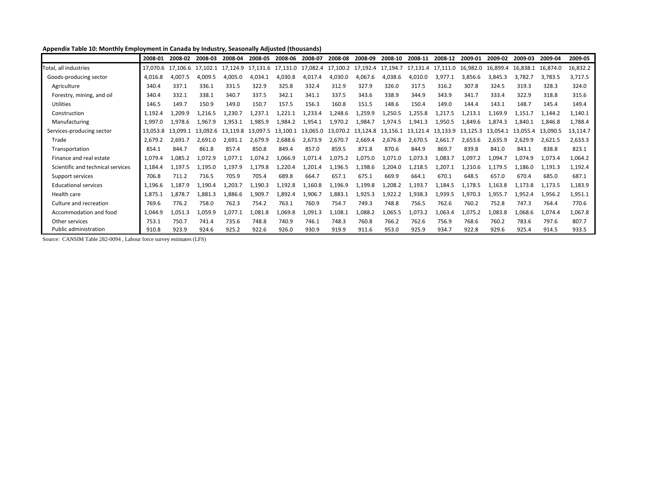## **Appendix Table 10: Monthly Employment in Canada by Industry, Seasonally Adjusted (thousands)**

|                                   | 2008-01  | 2008-02  | 2008-03  | 2008-04  | 2008-05  | 2008-06  | 2008-07  | 2008-08  | 2008-09  | 2008-10  | 2008-11  | 2008-12  | 2009-01  | 2009-02  | 2009-03  | 2009-04  | 2009-05  |
|-----------------------------------|----------|----------|----------|----------|----------|----------|----------|----------|----------|----------|----------|----------|----------|----------|----------|----------|----------|
| Total, all industries             | 17.070.6 | 17.106.6 | 17.102.1 | 17.124.9 | 17.131.6 | 17,131.0 | 17,082.4 | 17,100.2 | 17,192.4 | 17,194.7 | 17.131.4 | 17,111.0 | 16,982.0 | 16,899.4 | 16,838.1 | 16,874.0 | 16,832.2 |
| Goods-producing sector            | 4.016.8  | 4,007.5  | 4,009.5  | 4,005.0  | 4.034.1  | 4,030.8  | 4,017.4  | 4,030.0  | 4,067.6  | 4,038.6  | 4.010.0  | 3.977.1  | 3.856.6  | 3.845.3  | 3.782.7  | 3,783.5  | 3,717.5  |
| Agriculture                       | 340.4    | 337.1    | 336.1    | 331.5    | 322.9    | 325.8    | 332.4    | 312.9    | 327.9    | 326.0    | 317.5    | 316.2    | 307.8    | 324.5    | 319.3    | 328.3    | 324.0    |
| Forestry, mining, and oil         | 340.4    | 332.1    | 338.1    | 340.7    | 337.5    | 342.1    | 341.1    | 337.5    | 343.6    | 338.9    | 344.9    | 343.9    | 341.7    | 333.4    | 322.9    | 318.8    | 315.6    |
| <b>Utilities</b>                  | 146.5    | 149.7    | 150.9    | 149.0    | 150.7    | 157.5    | 156.3    | 160.8    | 151.5    | 148.6    | 150.4    | 149.0    | 144.4    | 143.1    | 148.7    | 145.4    | 149.4    |
| Construction                      | 1.192.4  | 1,209.9  | 1.216.5  | 1.230.7  | 237.1    | 1,221.1  | 1,233.4  | 1.248.6  | 1,259.9  | 1.250.5  | 1.255.8  | 1,217.5  | 1.213.1  | .169.9   | L,151.7  | 1,144.2  | 1,140.1  |
| Manufacturing                     | 1.997.0  | 1,978.6  | 1,967.9  | 1,953.1  | 1,985.9  | 1.984.2  | 1,954.1  | 1,970.2  | 1,984.7  | 1,974.5  | 1,941.3  | 1.950.5  | 1.849.6  | 1.874.3  | 1.840.1  | 1,846.8  | 1,788.4  |
| Services-producing sector         | 13,053.8 | 13.099.1 | 13.092.6 | 13.119.8 | 13.097.5 | 13.100.1 | 13.065.0 | 13.070.2 | 13.124.8 | 13.156.1 | 13.121.4 | 13.133.9 | 13.125.3 | 13.054.1 | 13.055.4 | 13,090.5 | 13,114.7 |
| Trade                             | 2,679.2  | 2.691.7  | 2,691.0  | 2,691.1  | 2.679.9  | 2,688.6  | 2,673.9  | 2,670.7  | 2,669.4  | 2,676.8  | 2,670.5  | 2,661.7  | 2,653.6  | 2,635.9  | 2,629.9  | 2.621.5  | 2,633.3  |
| Transportation                    | 854.1    | 844.7    | 861.8    | 857.4    | 850.8    | 849.4    | 857.0    | 859.5    | 871.8    | 870.6    | 844.9    | 869.7    | 839.8    | 841.0    | 843.1    | 838.8    | 823.1    |
| Finance and real estate           | 1.079.4  | 1,085.2  | 1,072.9  | 1,077.1  | ,074.2   | 1,066.9  | 1,071.4  | 1,075.2  | 1,075.0  | 1,071.0  | 1,073.3  | 1,083.7  | 1,097.2  | 1,094.7  | 1,074.9  | 1,073.4  | 1,064.2  |
| Scientific and technical services | 1.184.4  | 1,197.5  | 1,195.0  | .,197.9  | .179.8   | 1,220.4  | 1,201.4  | 1,196.5  | 1,198.6  | ,204.0   | .218.5   | 1,207.1  | 1,210.6  | .,179.5  | .186.0   | 1,191.3  | 1,192.4  |
| Support services                  | 706.8    | 711.2    | 716.5    | 705.9    | 705.4    | 689.8    | 664.7    | 657.1    | 675.1    | 669.9    | 664.1    | 670.1    | 648.5    | 657.0    | 670.4    | 685.0    | 687.1    |
| <b>Educational services</b>       | 1,196.6  | 1,187.9  | 1,190.4  | 1,203.7  | .,190.3  | 1,192.8  | 1,160.8  | 1,196.9  | 1,199.8  | 1,208.2  | 1,193.7  | 1,184.5  | 1,178.5  | .,163.8  | 1.173.8  | 1,173.5  | 1,183.9  |
| Health care                       | 1,875.1  | 1,878.7  | 1,881.3  | L,886.6  | 909.:    | 1,892.4  | 1,906.7  | 1,883.1  | 1,925.3  | 1,922.2  | 1.938.3  | 1,939.5  | 1,970.3  | 1,955.7  | 1,952.4  | 1,956.2  | 1,951.1  |
| Culture and recreation            | 769.6    | 776.2    | 758.0    | 762.3    | 754.2    | 763.1    | 760.9    | 754.7    | 749.3    | 748.8    | 756.5    | 762.6    | 760.2    | 752.8    | 747.3    | 764.4    | 770.6    |
| Accommodation and food            | 1.044.9  | 1,051.3  | 1,059.9  | 1,077.1  | .081.8   | 1,069.8  | 1,091.3  | 1,108.1  | 1,088.2  | 1,065.5  | 1,073.2  | 1,063.4  | 1,075.2  | 1,083.8  | .068.6   | 1,074.4  | 1,067.8  |
| Other services                    | 753.1    | 750.7    | 741.4    | 735.6    | 748.8    | 740.9    | 746.1    | 748.3    | 760.8    | 766.2    | 762.6    | 756.9    | 768.6    | 760.2    | 783.6    | 797.6    | 807.7    |
| Public administration             | 910.8    | 923.9    | 924.6    | 925.2    | 922.6    | 926.0    | 930.9    | 919.9    | 911.6    | 953.0    | 925.9    | 934.7    | 922.8    | 929.6    | 925.4    | 914.5    | 933.5    |

Source: CANSIM Table 282-0094 , Labour force survey estimates (LFS)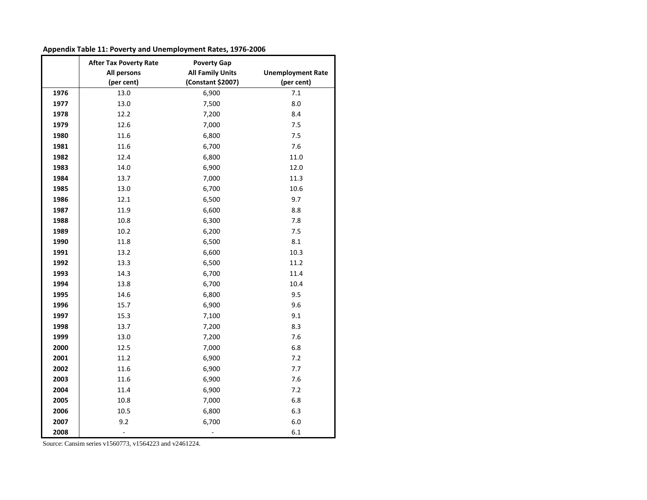| Appendix Table 11: Poverty and Unemployment Rates, 1976-2006 |  |
|--------------------------------------------------------------|--|
|--------------------------------------------------------------|--|

|      | <b>After Tax Poverty Rate</b> | <b>Poverty Gap</b>      |                          |
|------|-------------------------------|-------------------------|--------------------------|
|      | All persons                   | <b>All Family Units</b> | <b>Unemployment Rate</b> |
|      | (per cent)                    | (Constant \$2007)       | (per cent)               |
| 1976 | 13.0                          | 6,900                   | 7.1                      |
| 1977 | 13.0                          | 7,500                   | 8.0                      |
| 1978 | 12.2                          | 7,200                   | 8.4                      |
| 1979 | 12.6                          | 7,000                   | 7.5                      |
| 1980 | 11.6                          | 6,800                   | 7.5                      |
| 1981 | 11.6                          | 6,700                   | 7.6                      |
| 1982 | 12.4                          | 6,800                   | 11.0                     |
| 1983 | 14.0                          | 6,900                   | 12.0                     |
| 1984 | 13.7                          | 7,000                   | 11.3                     |
| 1985 | 13.0                          | 6,700                   | 10.6                     |
| 1986 | 12.1                          | 6,500                   | 9.7                      |
| 1987 | 11.9                          | 6,600                   | 8.8                      |
| 1988 | 10.8                          | 6,300                   | 7.8                      |
| 1989 | 10.2                          | 6,200                   | 7.5                      |
| 1990 | 11.8                          | 6,500                   | 8.1                      |
| 1991 | 13.2                          | 6,600                   | 10.3                     |
| 1992 | 13.3                          | 6,500                   | 11.2                     |
| 1993 | 14.3                          | 6,700                   | 11.4                     |
| 1994 | 13.8                          | 6,700                   | 10.4                     |
| 1995 | 14.6                          | 6,800                   | 9.5                      |
| 1996 | 15.7                          | 6,900                   | 9.6                      |
| 1997 | 15.3                          | 7,100                   | 9.1                      |
| 1998 | 13.7                          | 7,200                   | 8.3                      |
| 1999 | 13.0                          | 7,200                   | 7.6                      |
| 2000 | 12.5                          | 7,000                   | 6.8                      |
| 2001 | 11.2                          | 6,900                   | 7.2                      |
| 2002 | 11.6                          | 6,900                   | 7.7                      |
| 2003 | 11.6                          | 6,900                   | 7.6                      |
| 2004 | 11.4                          | 6,900                   | 7.2                      |
| 2005 | 10.8                          | 7,000                   | 6.8                      |
| 2006 | 10.5                          | 6,800                   | 6.3                      |
| 2007 | 9.2                           | 6,700                   | 6.0                      |
| 2008 | $\overline{\phantom{a}}$      |                         | 6.1                      |

Source: Cansim series v1560773, v1564223 and v2461224.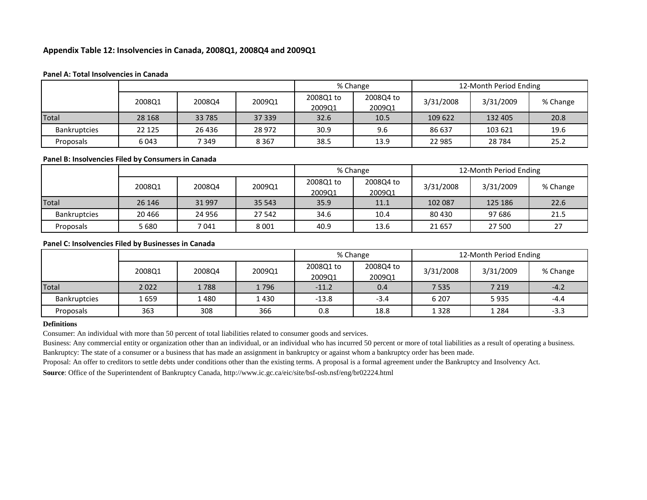#### **Appendix Table 12: Insolvencies in Canada, 2008Q1, 2008Q4 and 2009Q1**

#### **Panel A: Total Insolvencies in Canada**

|                     |         |         |         |                     | % Change            | 12-Month Period Ending |           |          |  |
|---------------------|---------|---------|---------|---------------------|---------------------|------------------------|-----------|----------|--|
|                     | 2008Q1  | 2008Q4  | 2009Q1  | 2008Q1 to<br>2009Q1 | 2008Q4 to<br>2009Q1 | 3/31/2008              | 3/31/2009 | % Change |  |
| Total               | 28 168  | 33 785  | 37 339  | 32.6                | 10.5                | 109 622                | 132 405   | 20.8     |  |
| <b>Bankruptcies</b> | 22 1 25 | 26 4 36 | 28 972  | 30.9                | 9.6                 | 86 637                 | 103 621   | 19.6     |  |
| Proposals           | 6043    | 7 3 4 9 | 8 3 6 7 | 38.5                | 13.9                | 22 985                 | 28 7 84   | 25.2     |  |

#### **Panel B: Insolvencies Filed by Consumers in Canada**

|                     |         |        |         |                     | % Change            | 12-Month Period Ending |           |          |  |
|---------------------|---------|--------|---------|---------------------|---------------------|------------------------|-----------|----------|--|
|                     | 2008Q1  | 2008Q4 | 2009Q1  | 2008Q1 to<br>2009Q1 | 2008Q4 to<br>2009Q1 | 3/31/2008              | 3/31/2009 | % Change |  |
| <b>Total</b>        | 26 14 6 | 31 997 | 35 543  | 35.9                | 11.1                | 102 087                | 125 186   | 22.6     |  |
| <b>Bankruptcies</b> | 20 4 66 | 24 956 | 27 542  | 34.6                | 10.4                | 80 430                 | 97 686    | 21.5     |  |
| Proposals           | 5680    | 7 041  | 8 0 0 1 | 40.9                | 13.6                | 21 6 5 7               | 27 500    | Ζ.       |  |

#### **Panel C: Insolvencies Filed by Businesses in Canada**

|                     |        |        |        |                     | % Change            | 12-Month Period Ending |           |          |
|---------------------|--------|--------|--------|---------------------|---------------------|------------------------|-----------|----------|
|                     | 2008Q1 | 2008Q4 | 2009Q1 | 2008Q1 to<br>2009Q1 | 2008Q4 to<br>2009Q1 | 3/31/2008              | 3/31/2009 | % Change |
| <b>Total</b>        | 2022   | 1788   | 1796   | $-11.2$             | 0.4                 | 7 5 3 5                | 7 2 1 9   | $-4.2$   |
| <b>Bankruptcies</b> | 1659   | 1480   | 1 430  | $-13.8$             | $-3.4$              | 6 2 0 7                | 5935      | $-4.4$   |
| Proposals           | 363    | 308    | 366    | 0.8                 | 18.8                | 1328                   | 1 284     | $-3.3$   |

#### **Definitions**

Consumer: An individual with more than 50 percent of total liabilities related to consumer goods and services.

Business: Any commercial entity or organization other than an individual, or an individual who has incurred 50 percent or more of total liabilities as a result of operating a business. Bankruptcy: The state of a consumer or a business that has made an assignment in bankruptcy or against whom a bankruptcy order has been made.

Proposal: An offer to creditors to settle debts under conditions other than the existing terms. A proposal is a formal agreement under the Bankruptcy and Insolvency Act.

**Source**: Office of the Superintendent of Bankruptcy Canada, http://www.ic.gc.ca/eic/site/bsf-osb.nsf/eng/br02224.html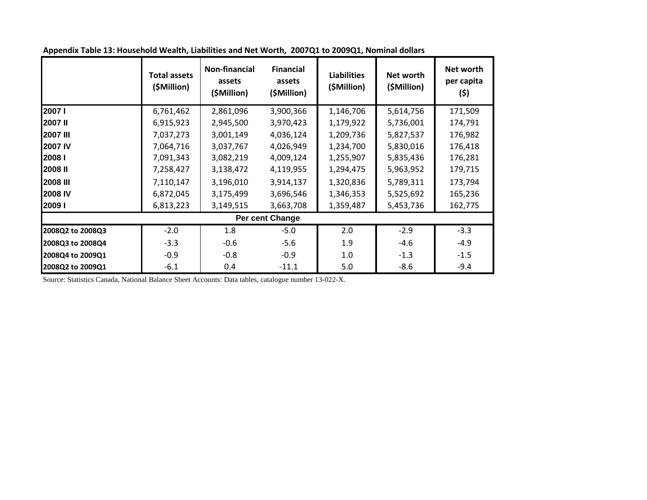|                   | <b>Total assets</b><br>(\$Million) | Non-financial<br>assets<br>(\$Million) | <b>Financial</b><br>assets<br>(\$Million) | <b>Liabilities</b><br>(\$Million) | Net worth<br>(\$Million) | Net worth<br>per capita<br>(\$) |  |  |  |  |  |
|-------------------|------------------------------------|----------------------------------------|-------------------------------------------|-----------------------------------|--------------------------|---------------------------------|--|--|--|--|--|
| 2007 l            | 6,761,462                          | 2,861,096                              | 3,900,366                                 | 1,146,706                         | 5,614,756                | 171,509                         |  |  |  |  |  |
| 2007 II           | 6,915,923                          | 2,945,500                              | 3,970,423                                 | 1,179,922                         | 5,736,001                | 174,791                         |  |  |  |  |  |
| <b>2007 III</b>   | 7,037,273                          | 3,001,149                              | 4,036,124                                 | 1,209,736                         | 5,827,537                | 176,982                         |  |  |  |  |  |
| <b>2007 IV</b>    | 7,064,716                          | 3,037,767                              | 4,026,949                                 | 1,234,700                         | 5,830,016                | 176,418                         |  |  |  |  |  |
| 2008 <sub>I</sub> | 7,091,343                          | 3,082,219                              | 4,009,124                                 | 1,255,907                         | 5,835,436                | 176,281                         |  |  |  |  |  |
| 2008 II           | 7,258,427                          | 3,138,472                              | 4,119,955                                 | 1,294,475                         | 5,963,952                | 179,715                         |  |  |  |  |  |
| <b>2008 III</b>   | 7,110,147                          | 3,196,010                              | 3,914,137                                 | 1,320,836                         | 5,789,311                | 173,794                         |  |  |  |  |  |
| 2008 IV           | 6,872,045                          | 3,175,499                              | 3,696,546                                 | 1,346,353                         | 5,525,692                | 165,236                         |  |  |  |  |  |
| 2009 l            | 6,813,223                          | 3,149,515                              | 3,663,708                                 | 1,359,487                         | 5,453,736                | 162,775                         |  |  |  |  |  |
|                   | Per cent Change                    |                                        |                                           |                                   |                          |                                 |  |  |  |  |  |
| 2008Q2 to 2008Q3  | $-2.0$                             | 1.8                                    | $-5.0$                                    | 2.0                               | $-2.9$                   | $-3.3$                          |  |  |  |  |  |
| 2008Q3 to 2008Q4  | $-3.3$                             | $-0.6$                                 | $-5.6$                                    | 1.9                               | $-4.6$                   | $-4.9$                          |  |  |  |  |  |
| 2008Q4 to 2009Q1  | $-0.9$                             | $-0.8$                                 | $-0.9$                                    | 1.0                               | $-1.3$                   | $-1.5$                          |  |  |  |  |  |
| 2008Q2 to 2009Q1  | $-6.1$                             | 0.4                                    | $-11.1$                                   | 5.0                               | $-8.6$                   | $-9.4$                          |  |  |  |  |  |

**Appendix Table 13: Household Wealth, Liabilities and Net Worth, 2007Q1 to 2009Q1, Nominal dollars**

Source: Statistics Canada, National Balance Sheet Accounts: Data tables, catalogue number 13-022-X.